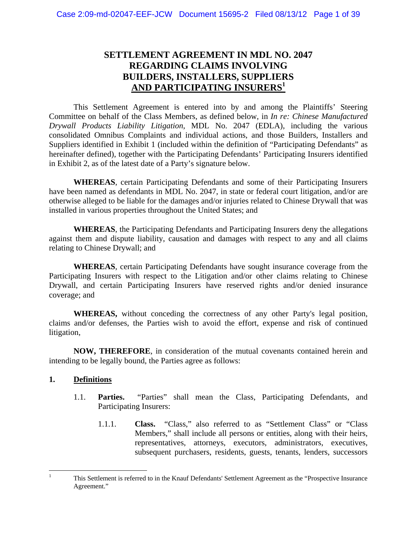# **SETTLEMENT AGREEMENT IN MDL NO. 2047 REGARDING CLAIMS INVOLVING BUILDERS, INSTALLERS, SUPPLIERS AND PARTICIPATING INSURERS<sup>1</sup>**

 This Settlement Agreement is entered into by and among the Plaintiffs' Steering Committee on behalf of the Class Members, as defined below, in *In re: Chinese Manufactured Drywall Products Liability Litigation*, MDL No. 2047 (EDLA), including the various consolidated Omnibus Complaints and individual actions, and those Builders, Installers and Suppliers identified in Exhibit 1 (included within the definition of "Participating Defendants" as hereinafter defined), together with the Participating Defendants' Participating Insurers identified in Exhibit 2, as of the latest date of a Party's signature below.

**WHEREAS**, certain Participating Defendants and some of their Participating Insurers have been named as defendants in MDL No. 2047, in state or federal court litigation, and/or are otherwise alleged to be liable for the damages and/or injuries related to Chinese Drywall that was installed in various properties throughout the United States; and

**WHEREAS**, the Participating Defendants and Participating Insurers deny the allegations against them and dispute liability, causation and damages with respect to any and all claims relating to Chinese Drywall; and

**WHEREAS**, certain Participating Defendants have sought insurance coverage from the Participating Insurers with respect to the Litigation and/or other claims relating to Chinese Drywall, and certain Participating Insurers have reserved rights and/or denied insurance coverage; and

**WHEREAS,** without conceding the correctness of any other Party's legal position, claims and/or defenses, the Parties wish to avoid the effort, expense and risk of continued litigation,

**NOW, THEREFORE**, in consideration of the mutual covenants contained herein and intending to be legally bound, the Parties agree as follows:

#### **1. Definitions**

- 1.1. **Parties.** "Parties" shall mean the Class, Participating Defendants, and Participating Insurers:
	- 1.1.1. **Class.** "Class," also referred to as "Settlement Class" or "Class Members," shall include all persons or entities, along with their heirs, representatives, attorneys, executors, administrators, executives, subsequent purchasers, residents, guests, tenants, lenders, successors

 $\frac{1}{1}$  This Settlement is referred to in the Knauf Defendants' Settlement Agreement as the "Prospective Insurance Agreement."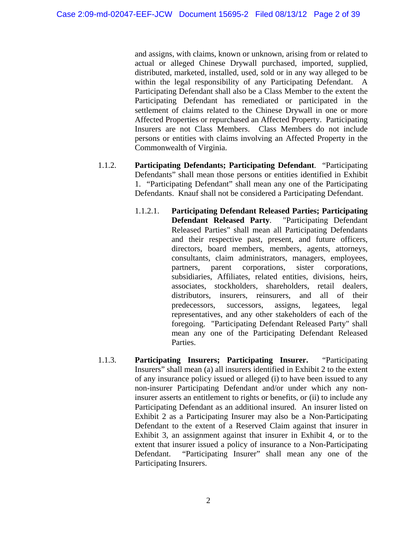and assigns, with claims, known or unknown, arising from or related to actual or alleged Chinese Drywall purchased, imported, supplied, distributed, marketed, installed, used, sold or in any way alleged to be within the legal responsibility of any Participating Defendant. A Participating Defendant shall also be a Class Member to the extent the Participating Defendant has remediated or participated in the settlement of claims related to the Chinese Drywall in one or more Affected Properties or repurchased an Affected Property. Participating Insurers are not Class Members. Class Members do not include persons or entities with claims involving an Affected Property in the Commonwealth of Virginia.

- 1.1.2. **Participating Defendants; Participating Defendant**. "Participating Defendants" shall mean those persons or entities identified in Exhibit 1. "Participating Defendant" shall mean any one of the Participating Defendants. Knauf shall not be considered a Participating Defendant.
	- 1.1.2.1. **Participating Defendant Released Parties; Participating Defendant Released Party**. "Participating Defendant Released Parties" shall mean all Participating Defendants and their respective past, present, and future officers, directors, board members, members, agents, attorneys, consultants, claim administrators, managers, employees, partners, parent corporations, sister corporations, subsidiaries, Affiliates, related entities, divisions, heirs, associates, stockholders, shareholders, retail dealers, distributors, insurers, reinsurers, and all of their predecessors, successors, assigns, legatees, legal representatives, and any other stakeholders of each of the foregoing. "Participating Defendant Released Party" shall mean any one of the Participating Defendant Released Parties.
- 1.1.3. **Participating Insurers; Participating Insurer.** "Participating Insurers" shall mean (a) all insurers identified in Exhibit 2 to the extent of any insurance policy issued or alleged (i) to have been issued to any non-insurer Participating Defendant and/or under which any noninsurer asserts an entitlement to rights or benefits, or (ii) to include any Participating Defendant as an additional insured. An insurer listed on Exhibit 2 as a Participating Insurer may also be a Non-Participating Defendant to the extent of a Reserved Claim against that insurer in Exhibit 3, an assignment against that insurer in Exhibit 4, or to the extent that insurer issued a policy of insurance to a Non-Participating Defendant. "Participating Insurer" shall mean any one of the Participating Insurers.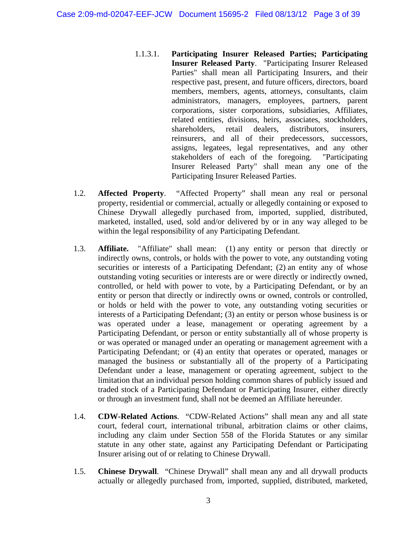- 1.1.3.1. **Participating Insurer Released Parties; Participating Insurer Released Party**. "Participating Insurer Released Parties" shall mean all Participating Insurers, and their respective past, present, and future officers, directors, board members, members, agents, attorneys, consultants, claim administrators, managers, employees, partners, parent corporations, sister corporations, subsidiaries, Affiliates, related entities, divisions, heirs, associates, stockholders, shareholders, retail dealers, distributors, insurers, reinsurers, and all of their predecessors, successors, assigns, legatees, legal representatives, and any other stakeholders of each of the foregoing. "Participating Insurer Released Party" shall mean any one of the Participating Insurer Released Parties.
- 1.2. **Affected Property**. "Affected Property" shall mean any real or personal property, residential or commercial, actually or allegedly containing or exposed to Chinese Drywall allegedly purchased from, imported, supplied, distributed, marketed, installed, used, sold and/or delivered by or in any way alleged to be within the legal responsibility of any Participating Defendant.
- 1.3. **Affiliate.** "Affiliate" shall mean: (1) any entity or person that directly or indirectly owns, controls, or holds with the power to vote, any outstanding voting securities or interests of a Participating Defendant; (2) an entity any of whose outstanding voting securities or interests are or were directly or indirectly owned, controlled, or held with power to vote, by a Participating Defendant, or by an entity or person that directly or indirectly owns or owned, controls or controlled, or holds or held with the power to vote, any outstanding voting securities or interests of a Participating Defendant; (3) an entity or person whose business is or was operated under a lease, management or operating agreement by a Participating Defendant, or person or entity substantially all of whose property is or was operated or managed under an operating or management agreement with a Participating Defendant; or (4) an entity that operates or operated, manages or managed the business or substantially all of the property of a Participating Defendant under a lease, management or operating agreement, subject to the limitation that an individual person holding common shares of publicly issued and traded stock of a Participating Defendant or Participating Insurer, either directly or through an investment fund, shall not be deemed an Affiliate hereunder.
- 1.4. **CDW-Related Actions**. "CDW-Related Actions" shall mean any and all state court, federal court, international tribunal, arbitration claims or other claims, including any claim under Section 558 of the Florida Statutes or any similar statute in any other state, against any Participating Defendant or Participating Insurer arising out of or relating to Chinese Drywall.
- 1.5. **Chinese Drywall**. "Chinese Drywall" shall mean any and all drywall products actually or allegedly purchased from, imported, supplied, distributed, marketed,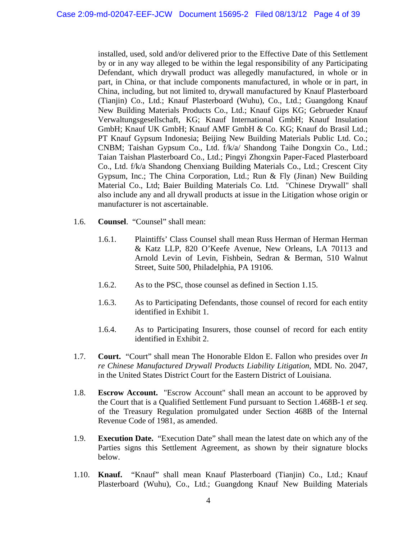installed, used, sold and/or delivered prior to the Effective Date of this Settlement by or in any way alleged to be within the legal responsibility of any Participating Defendant, which drywall product was allegedly manufactured, in whole or in part, in China, or that include components manufactured, in whole or in part, in China, including, but not limited to, drywall manufactured by Knauf Plasterboard (Tianjin) Co., Ltd.; Knauf Plasterboard (Wuhu), Co., Ltd.; Guangdong Knauf New Building Materials Products Co., Ltd.; Knauf Gips KG; Gebrueder Knauf Verwaltungsgesellschaft, KG; Knauf International GmbH; Knauf Insulation GmbH; Knauf UK GmbH; Knauf AMF GmbH & Co. KG; Knauf do Brasil Ltd.; PT Knauf Gypsum Indonesia; Beijing New Building Materials Public Ltd. Co.; CNBM; Taishan Gypsum Co., Ltd. f/k/a/ Shandong Taihe Dongxin Co., Ltd.; Taian Taishan Plasterboard Co., Ltd.; Pingyi Zhongxin Paper-Faced Plasterboard Co., Ltd. f/k/a Shandong Chenxiang Building Materials Co., Ltd.; Crescent City Gypsum, Inc.; The China Corporation, Ltd.; Run & Fly (Jinan) New Building Material Co., Ltd; Baier Building Materials Co. Ltd. "Chinese Drywall" shall also include any and all drywall products at issue in the Litigation whose origin or manufacturer is not ascertainable.

- 1.6. **Counsel**. "Counsel" shall mean:
	- 1.6.1. Plaintiffs' Class Counsel shall mean Russ Herman of Herman Herman & Katz LLP, 820 O'Keefe Avenue, New Orleans, LA 70113 and Arnold Levin of Levin, Fishbein, Sedran & Berman, 510 Walnut Street, Suite 500, Philadelphia, PA 19106.
	- 1.6.2. As to the PSC, those counsel as defined in Section 1.15.
	- 1.6.3. As to Participating Defendants, those counsel of record for each entity identified in Exhibit 1.
	- 1.6.4. As to Participating Insurers, those counsel of record for each entity identified in Exhibit 2.
- 1.7. **Court.** "Court" shall mean The Honorable Eldon E. Fallon who presides over *In re Chinese Manufactured Drywall Products Liability Litigation*, MDL No. 2047, in the United States District Court for the Eastern District of Louisiana.
- 1.8. **Escrow Account.** "Escrow Account" shall mean an account to be approved by the Court that is a Qualified Settlement Fund pursuant to Section 1.468B-1 *et seq.* of the Treasury Regulation promulgated under Section 468B of the Internal Revenue Code of 1981, as amended.
- 1.9. **Execution Date.** "Execution Date" shall mean the latest date on which any of the Parties signs this Settlement Agreement, as shown by their signature blocks below.
- 1.10. **Knauf.** "Knauf" shall mean Knauf Plasterboard (Tianjin) Co., Ltd.; Knauf Plasterboard (Wuhu), Co., Ltd.; Guangdong Knauf New Building Materials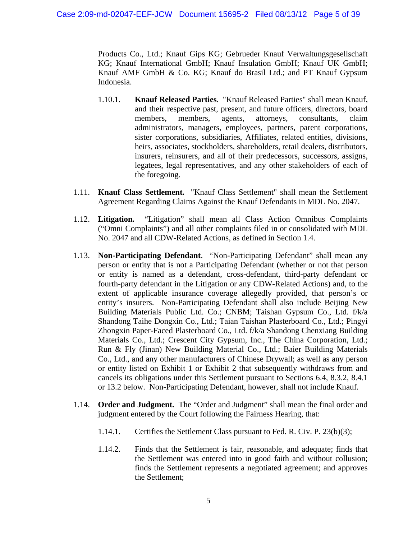Products Co., Ltd.; Knauf Gips KG; Gebrueder Knauf Verwaltungsgesellschaft KG; Knauf International GmbH; Knauf Insulation GmbH; Knauf UK GmbH; Knauf AMF GmbH & Co. KG; Knauf do Brasil Ltd.; and PT Knauf Gypsum Indonesia.

- 1.10.1. **Knauf Released Parties**. "Knauf Released Parties" shall mean Knauf, and their respective past, present, and future officers, directors, board members, members, agents, attorneys, consultants, claim administrators, managers, employees, partners, parent corporations, sister corporations, subsidiaries, Affiliates, related entities, divisions, heirs, associates, stockholders, shareholders, retail dealers, distributors, insurers, reinsurers, and all of their predecessors, successors, assigns, legatees, legal representatives, and any other stakeholders of each of the foregoing.
- 1.11. **Knauf Class Settlement.** "Knauf Class Settlement" shall mean the Settlement Agreement Regarding Claims Against the Knauf Defendants in MDL No. 2047.
- 1.12. **Litigation.** "Litigation" shall mean all Class Action Omnibus Complaints ("Omni Complaints") and all other complaints filed in or consolidated with MDL No. 2047 and all CDW-Related Actions, as defined in Section 1.4.
- 1.13. **Non-Participating Defendant**. "Non-Participating Defendant" shall mean any person or entity that is not a Participating Defendant (whether or not that person or entity is named as a defendant, cross-defendant, third-party defendant or fourth-party defendant in the Litigation or any CDW-Related Actions) and, to the extent of applicable insurance coverage allegedly provided, that person's or entity's insurers. Non-Participating Defendant shall also include Beijing New Building Materials Public Ltd. Co.; CNBM; Taishan Gypsum Co., Ltd. f/k/a Shandong Taihe Dongxin Co., Ltd.; Taian Taishan Plasterboard Co., Ltd.; Pingyi Zhongxin Paper-Faced Plasterboard Co., Ltd. f/k/a Shandong Chenxiang Building Materials Co., Ltd.; Crescent City Gypsum, Inc., The China Corporation, Ltd.; Run & Fly (Jinan) New Building Material Co., Ltd.; Baier Building Materials Co., Ltd., and any other manufacturers of Chinese Drywall; as well as any person or entity listed on Exhibit 1 or Exhibit 2 that subsequently withdraws from and cancels its obligations under this Settlement pursuant to Sections 6.4, 8.3.2, 8.4.1 or 13.2 below. Non-Participating Defendant, however, shall not include Knauf.
- 1.14. **Order and Judgment.** The "Order and Judgment" shall mean the final order and judgment entered by the Court following the Fairness Hearing, that:
	- 1.14.1. Certifies the Settlement Class pursuant to Fed. R. Civ. P. 23(b)(3);
	- 1.14.2. Finds that the Settlement is fair, reasonable, and adequate; finds that the Settlement was entered into in good faith and without collusion; finds the Settlement represents a negotiated agreement; and approves the Settlement;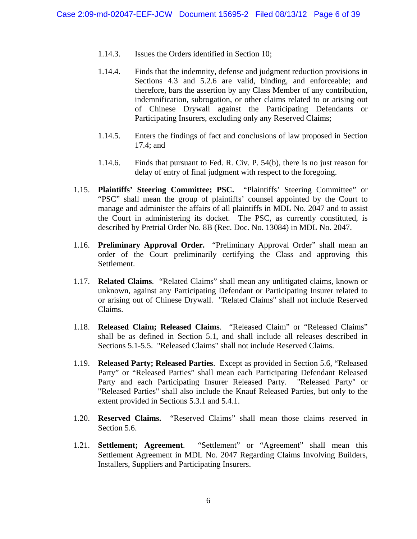- 1.14.3. Issues the Orders identified in Section 10;
- 1.14.4. Finds that the indemnity, defense and judgment reduction provisions in Sections 4.3 and 5.2.6 are valid, binding, and enforceable; and therefore, bars the assertion by any Class Member of any contribution, indemnification, subrogation, or other claims related to or arising out of Chinese Drywall against the Participating Defendants or Participating Insurers, excluding only any Reserved Claims;
- 1.14.5. Enters the findings of fact and conclusions of law proposed in Section 17.4; and
- 1.14.6. Finds that pursuant to Fed. R. Civ. P. 54(b), there is no just reason for delay of entry of final judgment with respect to the foregoing.
- 1.15. **Plaintiffs' Steering Committee; PSC.** "Plaintiffs' Steering Committee" or "PSC" shall mean the group of plaintiffs' counsel appointed by the Court to manage and administer the affairs of all plaintiffs in MDL No. 2047 and to assist the Court in administering its docket. The PSC, as currently constituted, is described by Pretrial Order No. 8B (Rec. Doc. No. 13084) in MDL No. 2047.
- 1.16. **Preliminary Approval Order.** "Preliminary Approval Order" shall mean an order of the Court preliminarily certifying the Class and approving this Settlement.
- 1.17. **Related Claims**. "Related Claims" shall mean any unlitigated claims, known or unknown, against any Participating Defendant or Participating Insurer related to or arising out of Chinese Drywall. "Related Claims" shall not include Reserved Claims.
- 1.18. **Released Claim; Released Claims**. "Released Claim" or "Released Claims" shall be as defined in Section 5.1, and shall include all releases described in Sections 5.1-5.5. "Released Claims" shall not include Reserved Claims.
- 1.19. **Released Party; Released Parties**. Except as provided in Section 5.6, "Released Party" or "Released Parties" shall mean each Participating Defendant Released Party and each Participating Insurer Released Party. "Released Party" or "Released Parties" shall also include the Knauf Released Parties, but only to the extent provided in Sections 5.3.1 and 5.4.1.
- 1.20. **Reserved Claims.** "Reserved Claims" shall mean those claims reserved in Section 5.6.
- 1.21. **Settlement; Agreement**. "Settlement" or "Agreement" shall mean this Settlement Agreement in MDL No. 2047 Regarding Claims Involving Builders, Installers, Suppliers and Participating Insurers.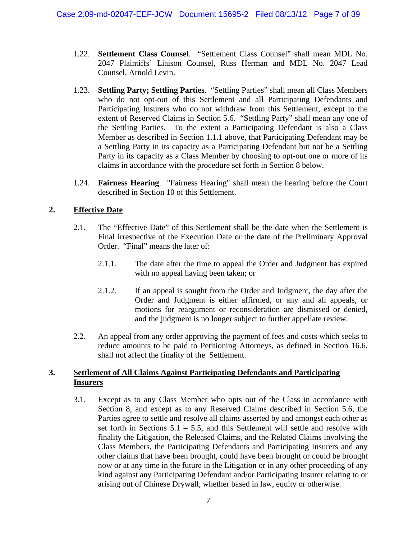- 1.22. **Settlement Class Counsel**. "Settlement Class Counsel" shall mean MDL No. 2047 Plaintiffs' Liaison Counsel, Russ Herman and MDL No. 2047 Lead Counsel, Arnold Levin.
- 1.23. **Settling Party; Settling Parties**. "Settling Parties" shall mean all Class Members who do not opt-out of this Settlement and all Participating Defendants and Participating Insurers who do not withdraw from this Settlement, except to the extent of Reserved Claims in Section 5.6. "Settling Party" shall mean any one of the Settling Parties. To the extent a Participating Defendant is also a Class Member as described in Section 1.1.1 above, that Participating Defendant may be a Settling Party in its capacity as a Participating Defendant but not be a Settling Party in its capacity as a Class Member by choosing to opt-out one or more of its claims in accordance with the procedure set forth in Section 8 below.
- 1.24. **Fairness Hearing**. "Fairness Hearing" shall mean the hearing before the Court described in Section 10 of this Settlement.

## **2. Effective Date**

- 2.1. The "Effective Date" of this Settlement shall be the date when the Settlement is Final irrespective of the Execution Date or the date of the Preliminary Approval Order. "Final" means the later of:
	- 2.1.1. The date after the time to appeal the Order and Judgment has expired with no appeal having been taken; or
	- 2.1.2. If an appeal is sought from the Order and Judgment, the day after the Order and Judgment is either affirmed, or any and all appeals, or motions for reargument or reconsideration are dismissed or denied, and the judgment is no longer subject to further appellate review.
- 2.2. An appeal from any order approving the payment of fees and costs which seeks to reduce amounts to be paid to Petitioning Attorneys, as defined in Section 16.6, shall not affect the finality of the Settlement.

#### **3. Settlement of All Claims Against Participating Defendants and Participating Insurers**

3.1. Except as to any Class Member who opts out of the Class in accordance with Section 8, and except as to any Reserved Claims described in Section 5.6, the Parties agree to settle and resolve all claims asserted by and amongst each other as set forth in Sections  $5.1 - 5.5$ , and this Settlement will settle and resolve with finality the Litigation, the Released Claims, and the Related Claims involving the Class Members, the Participating Defendants and Participating Insurers and any other claims that have been brought, could have been brought or could be brought now or at any time in the future in the Litigation or in any other proceeding of any kind against any Participating Defendant and/or Participating Insurer relating to or arising out of Chinese Drywall, whether based in law, equity or otherwise.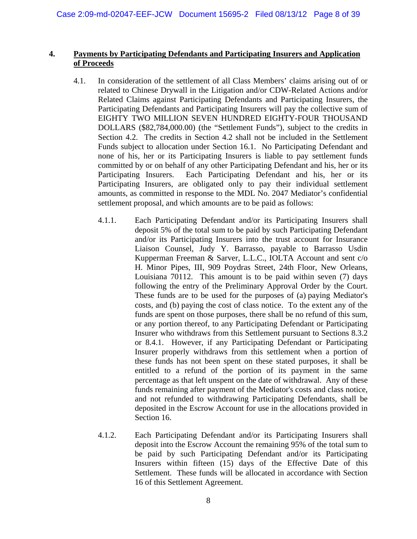#### **4. Payments by Participating Defendants and Participating Insurers and Application of Proceeds**

- 4.1. In consideration of the settlement of all Class Members' claims arising out of or related to Chinese Drywall in the Litigation and/or CDW-Related Actions and/or Related Claims against Participating Defendants and Participating Insurers, the Participating Defendants and Participating Insurers will pay the collective sum of EIGHTY TWO MILLION SEVEN HUNDRED EIGHTY-FOUR THOUSAND DOLLARS (\$82,784,000.00) (the "Settlement Funds"), subject to the credits in Section 4.2. The credits in Section 4.2 shall not be included in the Settlement Funds subject to allocation under Section 16.1. No Participating Defendant and none of his, her or its Participating Insurers is liable to pay settlement funds committed by or on behalf of any other Participating Defendant and his, her or its Participating Insurers. Each Participating Defendant and his, her or its Participating Insurers, are obligated only to pay their individual settlement amounts, as committed in response to the MDL No. 2047 Mediator's confidential settlement proposal, and which amounts are to be paid as follows:
	- 4.1.1. Each Participating Defendant and/or its Participating Insurers shall deposit 5% of the total sum to be paid by such Participating Defendant and/or its Participating Insurers into the trust account for Insurance Liaison Counsel, Judy Y. Barrasso, payable to Barrasso Usdin Kupperman Freeman & Sarver, L.L.C., IOLTA Account and sent c/o H. Minor Pipes, III, 909 Poydras Street, 24th Floor, New Orleans, Louisiana 70112. This amount is to be paid within seven (7) days following the entry of the Preliminary Approval Order by the Court. These funds are to be used for the purposes of (a) paying Mediator's costs, and (b) paying the cost of class notice. To the extent any of the funds are spent on those purposes, there shall be no refund of this sum, or any portion thereof, to any Participating Defendant or Participating Insurer who withdraws from this Settlement pursuant to Sections 8.3.2 or 8.4.1. However, if any Participating Defendant or Participating Insurer properly withdraws from this settlement when a portion of these funds has not been spent on these stated purposes, it shall be entitled to a refund of the portion of its payment in the same percentage as that left unspent on the date of withdrawal. Any of these funds remaining after payment of the Mediator's costs and class notice, and not refunded to withdrawing Participating Defendants, shall be deposited in the Escrow Account for use in the allocations provided in Section 16.
	- 4.1.2. Each Participating Defendant and/or its Participating Insurers shall deposit into the Escrow Account the remaining 95% of the total sum to be paid by such Participating Defendant and/or its Participating Insurers within fifteen (15) days of the Effective Date of this Settlement. These funds will be allocated in accordance with Section 16 of this Settlement Agreement.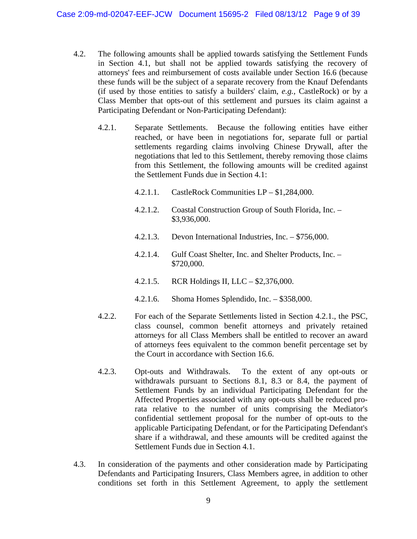- 4.2. The following amounts shall be applied towards satisfying the Settlement Funds in Section 4.1, but shall not be applied towards satisfying the recovery of attorneys' fees and reimbursement of costs available under Section 16.6 (because these funds will be the subject of a separate recovery from the Knauf Defendants (if used by those entities to satisfy a builders' claim, *e.g.,* CastleRock) or by a Class Member that opts-out of this settlement and pursues its claim against a Participating Defendant or Non-Participating Defendant):
	- 4.2.1. Separate Settlements. Because the following entities have either reached, or have been in negotiations for, separate full or partial settlements regarding claims involving Chinese Drywall, after the negotiations that led to this Settlement, thereby removing those claims from this Settlement, the following amounts will be credited against the Settlement Funds due in Section 4.1:
		- 4.2.1.1. CastleRock Communities LP \$1,284,000.
		- 4.2.1.2. Coastal Construction Group of South Florida, Inc. \$3,936,000.
		- 4.2.1.3. Devon International Industries, Inc. \$756,000.
		- 4.2.1.4. Gulf Coast Shelter, Inc. and Shelter Products, Inc. \$720,000.
		- 4.2.1.5. RCR Holdings II, LLC \$2,376,000.
		- 4.2.1.6. Shoma Homes Splendido, Inc. \$358,000.
	- 4.2.2. For each of the Separate Settlements listed in Section 4.2.1., the PSC, class counsel, common benefit attorneys and privately retained attorneys for all Class Members shall be entitled to recover an award of attorneys fees equivalent to the common benefit percentage set by the Court in accordance with Section 16.6.
	- 4.2.3. Opt-outs and Withdrawals. To the extent of any opt-outs or withdrawals pursuant to Sections 8.1, 8.3 or 8.4, the payment of Settlement Funds by an individual Participating Defendant for the Affected Properties associated with any opt-outs shall be reduced prorata relative to the number of units comprising the Mediator's confidential settlement proposal for the number of opt-outs to the applicable Participating Defendant, or for the Participating Defendant's share if a withdrawal, and these amounts will be credited against the Settlement Funds due in Section 4.1.
- 4.3. In consideration of the payments and other consideration made by Participating Defendants and Participating Insurers, Class Members agree, in addition to other conditions set forth in this Settlement Agreement, to apply the settlement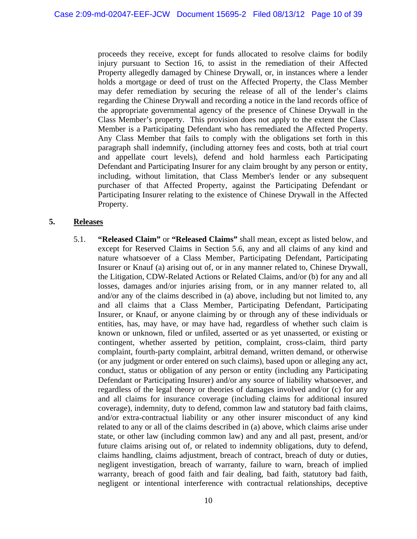proceeds they receive, except for funds allocated to resolve claims for bodily injury pursuant to Section 16, to assist in the remediation of their Affected Property allegedly damaged by Chinese Drywall, or, in instances where a lender holds a mortgage or deed of trust on the Affected Property, the Class Member may defer remediation by securing the release of all of the lender's claims regarding the Chinese Drywall and recording a notice in the land records office of the appropriate governmental agency of the presence of Chinese Drywall in the Class Member's property. This provision does not apply to the extent the Class Member is a Participating Defendant who has remediated the Affected Property. Any Class Member that fails to comply with the obligations set forth in this paragraph shall indemnify, (including attorney fees and costs, both at trial court and appellate court levels), defend and hold harmless each Participating Defendant and Participating Insurer for any claim brought by any person or entity, including, without limitation, that Class Member's lender or any subsequent purchaser of that Affected Property, against the Participating Defendant or Participating Insurer relating to the existence of Chinese Drywall in the Affected Property.

#### **5. Releases**

5.1. **"Released Claim"** or **"Released Claims"** shall mean, except as listed below, and except for Reserved Claims in Section 5.6, any and all claims of any kind and nature whatsoever of a Class Member, Participating Defendant, Participating Insurer or Knauf (a) arising out of, or in any manner related to, Chinese Drywall, the Litigation, CDW-Related Actions or Related Claims, and/or (b) for any and all losses, damages and/or injuries arising from, or in any manner related to, all and/or any of the claims described in (a) above, including but not limited to, any and all claims that a Class Member, Participating Defendant, Participating Insurer, or Knauf, or anyone claiming by or through any of these individuals or entities, has, may have, or may have had, regardless of whether such claim is known or unknown, filed or unfiled, asserted or as yet unasserted, or existing or contingent, whether asserted by petition, complaint, cross-claim, third party complaint, fourth-party complaint, arbitral demand, written demand, or otherwise (or any judgment or order entered on such claims), based upon or alleging any act, conduct, status or obligation of any person or entity (including any Participating Defendant or Participating Insurer) and/or any source of liability whatsoever, and regardless of the legal theory or theories of damages involved and/or (c) for any and all claims for insurance coverage (including claims for additional insured coverage), indemnity, duty to defend, common law and statutory bad faith claims, and/or extra-contractual liability or any other insurer misconduct of any kind related to any or all of the claims described in (a) above, which claims arise under state, or other law (including common law) and any and all past, present, and/or future claims arising out of, or related to indemnity obligations, duty to defend, claims handling, claims adjustment, breach of contract, breach of duty or duties, negligent investigation, breach of warranty, failure to warn, breach of implied warranty, breach of good faith and fair dealing, bad faith, statutory bad faith, negligent or intentional interference with contractual relationships, deceptive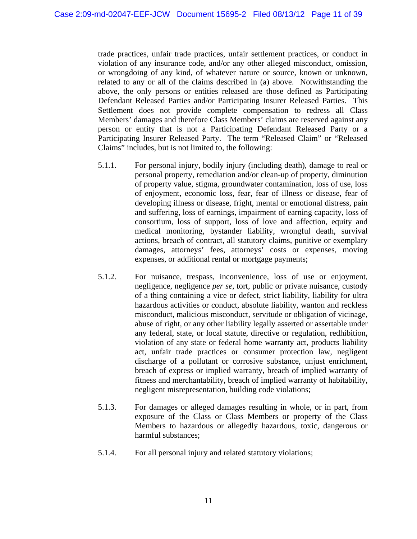trade practices, unfair trade practices, unfair settlement practices, or conduct in violation of any insurance code, and/or any other alleged misconduct, omission, or wrongdoing of any kind, of whatever nature or source, known or unknown, related to any or all of the claims described in (a) above. Notwithstanding the above, the only persons or entities released are those defined as Participating Defendant Released Parties and/or Participating Insurer Released Parties. This Settlement does not provide complete compensation to redress all Class Members' damages and therefore Class Members' claims are reserved against any person or entity that is not a Participating Defendant Released Party or a Participating Insurer Released Party. The term "Released Claim" or "Released Claims" includes, but is not limited to, the following:

- 5.1.1. For personal injury, bodily injury (including death), damage to real or personal property, remediation and/or clean-up of property, diminution of property value, stigma, groundwater contamination, loss of use, loss of enjoyment, economic loss, fear, fear of illness or disease, fear of developing illness or disease, fright, mental or emotional distress, pain and suffering, loss of earnings, impairment of earning capacity, loss of consortium, loss of support, loss of love and affection, equity and medical monitoring, bystander liability, wrongful death, survival actions, breach of contract, all statutory claims, punitive or exemplary damages, attorneys' fees, attorneys' costs or expenses, moving expenses, or additional rental or mortgage payments;
- 5.1.2. For nuisance, trespass, inconvenience, loss of use or enjoyment, negligence, negligence *per se*, tort, public or private nuisance, custody of a thing containing a vice or defect, strict liability, liability for ultra hazardous activities or conduct, absolute liability, wanton and reckless misconduct, malicious misconduct, servitude or obligation of vicinage, abuse of right, or any other liability legally asserted or assertable under any federal, state, or local statute, directive or regulation, redhibition, violation of any state or federal home warranty act, products liability act, unfair trade practices or consumer protection law, negligent discharge of a pollutant or corrosive substance, unjust enrichment, breach of express or implied warranty, breach of implied warranty of fitness and merchantability, breach of implied warranty of habitability, negligent misrepresentation, building code violations;
- 5.1.3. For damages or alleged damages resulting in whole, or in part, from exposure of the Class or Class Members or property of the Class Members to hazardous or allegedly hazardous, toxic, dangerous or harmful substances;
- 5.1.4. For all personal injury and related statutory violations;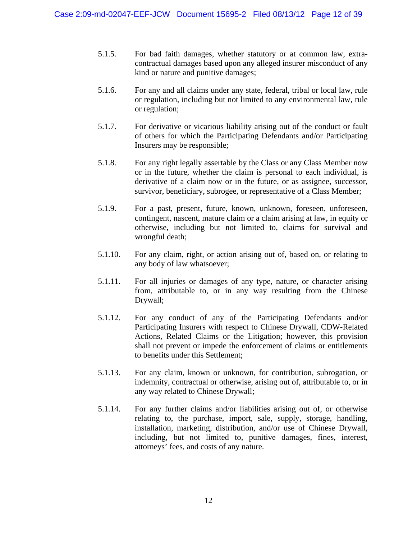- 5.1.5. For bad faith damages, whether statutory or at common law, extracontractual damages based upon any alleged insurer misconduct of any kind or nature and punitive damages;
- 5.1.6. For any and all claims under any state, federal, tribal or local law, rule or regulation, including but not limited to any environmental law, rule or regulation;
- 5.1.7. For derivative or vicarious liability arising out of the conduct or fault of others for which the Participating Defendants and/or Participating Insurers may be responsible;
- 5.1.8. For any right legally assertable by the Class or any Class Member now or in the future, whether the claim is personal to each individual, is derivative of a claim now or in the future, or as assignee, successor, survivor, beneficiary, subrogee, or representative of a Class Member;
- 5.1.9. For a past, present, future, known, unknown, foreseen, unforeseen, contingent, nascent, mature claim or a claim arising at law, in equity or otherwise, including but not limited to, claims for survival and wrongful death;
- 5.1.10. For any claim, right, or action arising out of, based on, or relating to any body of law whatsoever;
- 5.1.11. For all injuries or damages of any type, nature, or character arising from, attributable to, or in any way resulting from the Chinese Drywall;
- 5.1.12. For any conduct of any of the Participating Defendants and/or Participating Insurers with respect to Chinese Drywall, CDW-Related Actions, Related Claims or the Litigation; however, this provision shall not prevent or impede the enforcement of claims or entitlements to benefits under this Settlement;
- 5.1.13. For any claim, known or unknown, for contribution, subrogation, or indemnity, contractual or otherwise, arising out of, attributable to, or in any way related to Chinese Drywall;
- 5.1.14. For any further claims and/or liabilities arising out of, or otherwise relating to, the purchase, import, sale, supply, storage, handling, installation, marketing, distribution, and/or use of Chinese Drywall, including, but not limited to, punitive damages, fines, interest, attorneys' fees, and costs of any nature.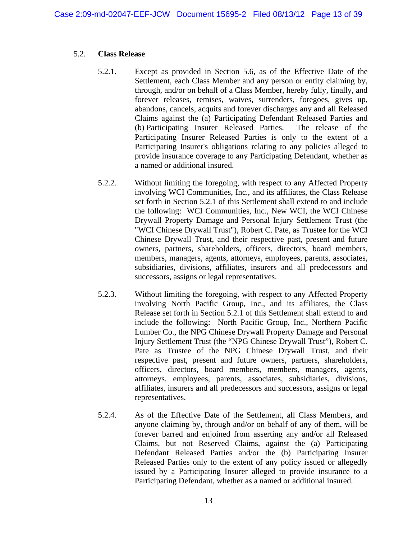#### 5.2. **Class Release**

- 5.2.1. Except as provided in Section 5.6, as of the Effective Date of the Settlement, each Class Member and any person or entity claiming by, through, and/or on behalf of a Class Member, hereby fully, finally, and forever releases, remises, waives, surrenders, foregoes, gives up, abandons, cancels, acquits and forever discharges any and all Released Claims against the (a) Participating Defendant Released Parties and (b) Participating Insurer Released Parties. The release of the Participating Insurer Released Parties is only to the extent of a Participating Insurer's obligations relating to any policies alleged to provide insurance coverage to any Participating Defendant, whether as a named or additional insured.
- 5.2.2. Without limiting the foregoing, with respect to any Affected Property involving WCI Communities, Inc., and its affiliates, the Class Release set forth in Section 5.2.1 of this Settlement shall extend to and include the following: WCI Communities, Inc., New WCI, the WCI Chinese Drywall Property Damage and Personal Injury Settlement Trust (the "WCI Chinese Drywall Trust"), Robert C. Pate, as Trustee for the WCI Chinese Drywall Trust, and their respective past, present and future owners, partners, shareholders, officers, directors, board members, members, managers, agents, attorneys, employees, parents, associates, subsidiaries, divisions, affiliates, insurers and all predecessors and successors, assigns or legal representatives.
- 5.2.3. Without limiting the foregoing, with respect to any Affected Property involving North Pacific Group, Inc., and its affiliates, the Class Release set forth in Section 5.2.1 of this Settlement shall extend to and include the following: North Pacific Group, Inc., Northern Pacific Lumber Co., the NPG Chinese Drywall Property Damage and Personal Injury Settlement Trust (the "NPG Chinese Drywall Trust"), Robert C. Pate as Trustee of the NPG Chinese Drywall Trust, and their respective past, present and future owners, partners, shareholders, officers, directors, board members, members, managers, agents, attorneys, employees, parents, associates, subsidiaries, divisions, affiliates, insurers and all predecessors and successors, assigns or legal representatives.
- 5.2.4. As of the Effective Date of the Settlement, all Class Members, and anyone claiming by, through and/or on behalf of any of them, will be forever barred and enjoined from asserting any and/or all Released Claims, but not Reserved Claims, against the (a) Participating Defendant Released Parties and/or the (b) Participating Insurer Released Parties only to the extent of any policy issued or allegedly issued by a Participating Insurer alleged to provide insurance to a Participating Defendant, whether as a named or additional insured.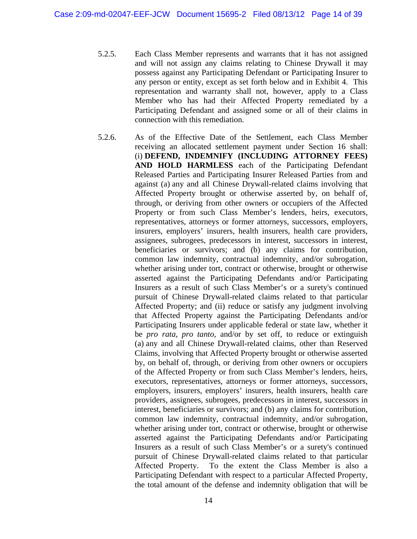- 5.2.5. Each Class Member represents and warrants that it has not assigned and will not assign any claims relating to Chinese Drywall it may possess against any Participating Defendant or Participating Insurer to any person or entity, except as set forth below and in Exhibit 4. This representation and warranty shall not, however, apply to a Class Member who has had their Affected Property remediated by a Participating Defendant and assigned some or all of their claims in connection with this remediation.
- 5.2.6. As of the Effective Date of the Settlement, each Class Member receiving an allocated settlement payment under Section 16 shall: (i) **DEFEND, INDEMNIFY (INCLUDING ATTORNEY FEES) AND HOLD HARMLESS** each of the Participating Defendant Released Parties and Participating Insurer Released Parties from and against (a) any and all Chinese Drywall-related claims involving that Affected Property brought or otherwise asserted by, on behalf of, through, or deriving from other owners or occupiers of the Affected Property or from such Class Member's lenders, heirs, executors, representatives, attorneys or former attorneys, successors, employers, insurers, employers' insurers, health insurers, health care providers, assignees, subrogees, predecessors in interest, successors in interest, beneficiaries or survivors; and (b) any claims for contribution, common law indemnity, contractual indemnity, and/or subrogation, whether arising under tort, contract or otherwise, brought or otherwise asserted against the Participating Defendants and/or Participating Insurers as a result of such Class Member's or a surety's continued pursuit of Chinese Drywall-related claims related to that particular Affected Property; and (ii) reduce or satisfy any judgment involving that Affected Property against the Participating Defendants and/or Participating Insurers under applicable federal or state law, whether it be *pro rata*, *pro tanto*, and/or by set off, to reduce or extinguish (a) any and all Chinese Drywall-related claims, other than Reserved Claims, involving that Affected Property brought or otherwise asserted by, on behalf of, through, or deriving from other owners or occupiers of the Affected Property or from such Class Member's lenders, heirs, executors, representatives, attorneys or former attorneys, successors, employers, insurers, employers' insurers, health insurers, health care providers, assignees, subrogees, predecessors in interest, successors in interest, beneficiaries or survivors; and (b) any claims for contribution, common law indemnity, contractual indemnity, and/or subrogation, whether arising under tort, contract or otherwise, brought or otherwise asserted against the Participating Defendants and/or Participating Insurers as a result of such Class Member's or a surety's continued pursuit of Chinese Drywall-related claims related to that particular Affected Property. To the extent the Class Member is also a Participating Defendant with respect to a particular Affected Property, the total amount of the defense and indemnity obligation that will be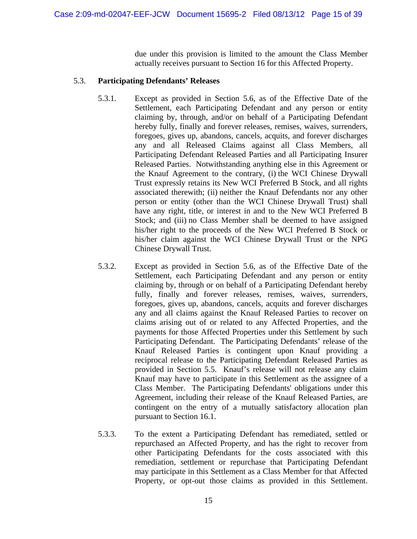due under this provision is limited to the amount the Class Member actually receives pursuant to Section 16 for this Affected Property.

#### 5.3. **Participating Defendants' Releases**

- 5.3.1. Except as provided in Section 5.6, as of the Effective Date of the Settlement, each Participating Defendant and any person or entity claiming by, through, and/or on behalf of a Participating Defendant hereby fully, finally and forever releases, remises, waives, surrenders, foregoes, gives up, abandons, cancels, acquits, and forever discharges any and all Released Claims against all Class Members, all Participating Defendant Released Parties and all Participating Insurer Released Parties. Notwithstanding anything else in this Agreement or the Knauf Agreement to the contrary, (i) the WCI Chinese Drywall Trust expressly retains its New WCI Preferred B Stock, and all rights associated therewith; (ii) neither the Knauf Defendants nor any other person or entity (other than the WCI Chinese Drywall Trust) shall have any right, title, or interest in and to the New WCI Preferred B Stock; and (iii) no Class Member shall be deemed to have assigned his/her right to the proceeds of the New WCI Preferred B Stock or his/her claim against the WCI Chinese Drywall Trust or the NPG Chinese Drywall Trust.
- 5.3.2. Except as provided in Section 5.6, as of the Effective Date of the Settlement, each Participating Defendant and any person or entity claiming by, through or on behalf of a Participating Defendant hereby fully, finally and forever releases, remises, waives, surrenders, foregoes, gives up, abandons, cancels, acquits and forever discharges any and all claims against the Knauf Released Parties to recover on claims arising out of or related to any Affected Properties, and the payments for those Affected Properties under this Settlement by such Participating Defendant. The Participating Defendants' release of the Knauf Released Parties is contingent upon Knauf providing a reciprocal release to the Participating Defendant Released Parties as provided in Section 5.5. Knauf's release will not release any claim Knauf may have to participate in this Settlement as the assignee of a Class Member. The Participating Defendants' obligations under this Agreement, including their release of the Knauf Released Parties, are contingent on the entry of a mutually satisfactory allocation plan pursuant to Section 16.1.
- 5.3.3. To the extent a Participating Defendant has remediated, settled or repurchased an Affected Property, and has the right to recover from other Participating Defendants for the costs associated with this remediation, settlement or repurchase that Participating Defendant may participate in this Settlement as a Class Member for that Affected Property, or opt-out those claims as provided in this Settlement.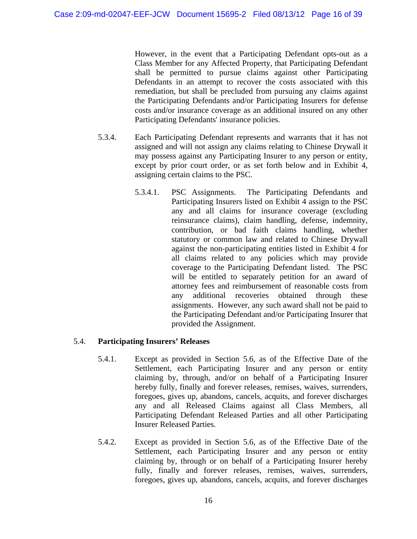However, in the event that a Participating Defendant opts-out as a Class Member for any Affected Property, that Participating Defendant shall be permitted to pursue claims against other Participating Defendants in an attempt to recover the costs associated with this remediation, but shall be precluded from pursuing any claims against the Participating Defendants and/or Participating Insurers for defense costs and/or insurance coverage as an additional insured on any other Participating Defendants' insurance policies.

- 5.3.4. Each Participating Defendant represents and warrants that it has not assigned and will not assign any claims relating to Chinese Drywall it may possess against any Participating Insurer to any person or entity, except by prior court order, or as set forth below and in Exhibit 4, assigning certain claims to the PSC.
	- 5.3.4.1. PSC Assignments. The Participating Defendants and Participating Insurers listed on Exhibit 4 assign to the PSC any and all claims for insurance coverage (excluding reinsurance claims), claim handling, defense, indemnity, contribution, or bad faith claims handling, whether statutory or common law and related to Chinese Drywall against the non-participating entities listed in Exhibit 4 for all claims related to any policies which may provide coverage to the Participating Defendant listed. The PSC will be entitled to separately petition for an award of attorney fees and reimbursement of reasonable costs from any additional recoveries obtained through these assignments. However, any such award shall not be paid to the Participating Defendant and/or Participating Insurer that provided the Assignment.

## 5.4. **Participating Insurers' Releases**

- 5.4.1. Except as provided in Section 5.6, as of the Effective Date of the Settlement, each Participating Insurer and any person or entity claiming by, through, and/or on behalf of a Participating Insurer hereby fully, finally and forever releases, remises, waives, surrenders, foregoes, gives up, abandons, cancels, acquits, and forever discharges any and all Released Claims against all Class Members, all Participating Defendant Released Parties and all other Participating Insurer Released Parties.
- 5.4.2. Except as provided in Section 5.6, as of the Effective Date of the Settlement, each Participating Insurer and any person or entity claiming by, through or on behalf of a Participating Insurer hereby fully, finally and forever releases, remises, waives, surrenders, foregoes, gives up, abandons, cancels, acquits, and forever discharges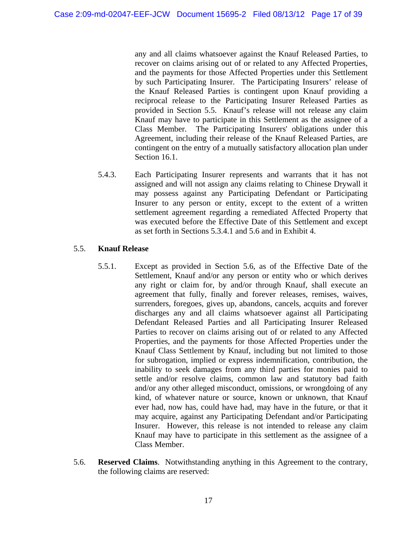any and all claims whatsoever against the Knauf Released Parties, to recover on claims arising out of or related to any Affected Properties, and the payments for those Affected Properties under this Settlement by such Participating Insurer. The Participating Insurers' release of the Knauf Released Parties is contingent upon Knauf providing a reciprocal release to the Participating Insurer Released Parties as provided in Section 5.5. Knauf's release will not release any claim Knauf may have to participate in this Settlement as the assignee of a Class Member. The Participating Insurers' obligations under this Agreement, including their release of the Knauf Released Parties, are contingent on the entry of a mutually satisfactory allocation plan under Section 16.1.

5.4.3. Each Participating Insurer represents and warrants that it has not assigned and will not assign any claims relating to Chinese Drywall it may possess against any Participating Defendant or Participating Insurer to any person or entity, except to the extent of a written settlement agreement regarding a remediated Affected Property that was executed before the Effective Date of this Settlement and except as set forth in Sections 5.3.4.1 and 5.6 and in Exhibit 4.

## 5.5. **Knauf Release**

- 5.5.1. Except as provided in Section 5.6, as of the Effective Date of the Settlement, Knauf and/or any person or entity who or which derives any right or claim for, by and/or through Knauf, shall execute an agreement that fully, finally and forever releases, remises, waives, surrenders, foregoes, gives up, abandons, cancels, acquits and forever discharges any and all claims whatsoever against all Participating Defendant Released Parties and all Participating Insurer Released Parties to recover on claims arising out of or related to any Affected Properties, and the payments for those Affected Properties under the Knauf Class Settlement by Knauf, including but not limited to those for subrogation, implied or express indemnification, contribution, the inability to seek damages from any third parties for monies paid to settle and/or resolve claims, common law and statutory bad faith and/or any other alleged misconduct, omissions, or wrongdoing of any kind, of whatever nature or source, known or unknown, that Knauf ever had, now has, could have had, may have in the future, or that it may acquire, against any Participating Defendant and/or Participating Insurer. However, this release is not intended to release any claim Knauf may have to participate in this settlement as the assignee of a Class Member.
- 5.6. **Reserved Claims**. Notwithstanding anything in this Agreement to the contrary, the following claims are reserved: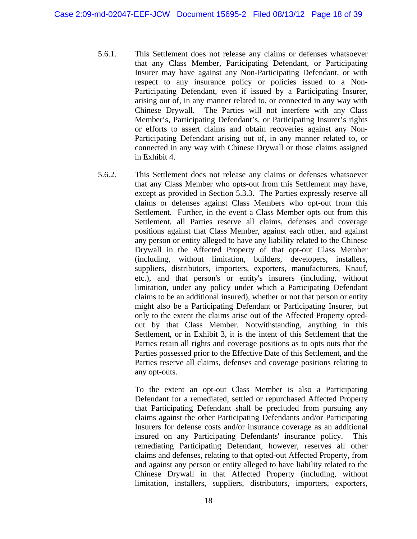- 5.6.1. This Settlement does not release any claims or defenses whatsoever that any Class Member, Participating Defendant, or Participating Insurer may have against any Non-Participating Defendant, or with respect to any insurance policy or policies issued to a Non-Participating Defendant, even if issued by a Participating Insurer, arising out of, in any manner related to, or connected in any way with Chinese Drywall. The Parties will not interfere with any Class Member's, Participating Defendant's, or Participating Insurer's rights or efforts to assert claims and obtain recoveries against any Non-Participating Defendant arising out of, in any manner related to, or connected in any way with Chinese Drywall or those claims assigned in Exhibit 4.
- 5.6.2. This Settlement does not release any claims or defenses whatsoever that any Class Member who opts-out from this Settlement may have, except as provided in Section 5.3.3. The Parties expressly reserve all claims or defenses against Class Members who opt-out from this Settlement. Further, in the event a Class Member opts out from this Settlement, all Parties reserve all claims, defenses and coverage positions against that Class Member, against each other, and against any person or entity alleged to have any liability related to the Chinese Drywall in the Affected Property of that opt-out Class Member (including, without limitation, builders, developers, installers, suppliers, distributors, importers, exporters, manufacturers, Knauf, etc.), and that person's or entity's insurers (including, without limitation, under any policy under which a Participating Defendant claims to be an additional insured), whether or not that person or entity might also be a Participating Defendant or Participating Insurer, but only to the extent the claims arise out of the Affected Property optedout by that Class Member. Notwithstanding, anything in this Settlement, or in Exhibit 3, it is the intent of this Settlement that the Parties retain all rights and coverage positions as to opts outs that the Parties possessed prior to the Effective Date of this Settlement, and the Parties reserve all claims, defenses and coverage positions relating to any opt-outs.

To the extent an opt-out Class Member is also a Participating Defendant for a remediated, settled or repurchased Affected Property that Participating Defendant shall be precluded from pursuing any claims against the other Participating Defendants and/or Participating Insurers for defense costs and/or insurance coverage as an additional insured on any Participating Defendants' insurance policy. This remediating Participating Defendant, however, reserves all other claims and defenses, relating to that opted-out Affected Property, from and against any person or entity alleged to have liability related to the Chinese Drywall in that Affected Property (including, without limitation, installers, suppliers, distributors, importers, exporters,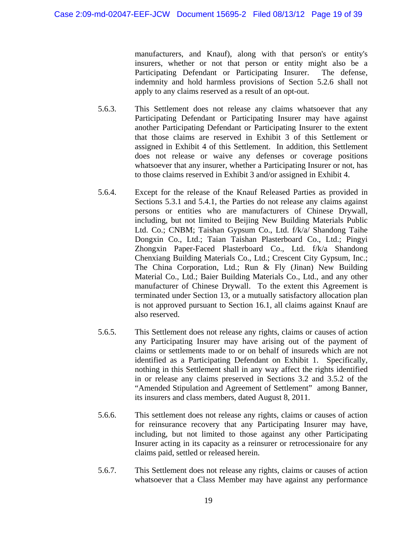manufacturers, and Knauf), along with that person's or entity's insurers, whether or not that person or entity might also be a Participating Defendant or Participating Insurer. The defense, indemnity and hold harmless provisions of Section 5.2.6 shall not apply to any claims reserved as a result of an opt-out.

- 5.6.3. This Settlement does not release any claims whatsoever that any Participating Defendant or Participating Insurer may have against another Participating Defendant or Participating Insurer to the extent that those claims are reserved in Exhibit 3 of this Settlement or assigned in Exhibit 4 of this Settlement. In addition, this Settlement does not release or waive any defenses or coverage positions whatsoever that any insurer, whether a Participating Insurer or not, has to those claims reserved in Exhibit 3 and/or assigned in Exhibit 4.
- 5.6.4. Except for the release of the Knauf Released Parties as provided in Sections 5.3.1 and 5.4.1, the Parties do not release any claims against persons or entities who are manufacturers of Chinese Drywall, including, but not limited to Beijing New Building Materials Public Ltd. Co.; CNBM; Taishan Gypsum Co., Ltd. f/k/a/ Shandong Taihe Dongxin Co., Ltd.; Taian Taishan Plasterboard Co., Ltd.; Pingyi Zhongxin Paper-Faced Plasterboard Co., Ltd. f/k/a Shandong Chenxiang Building Materials Co., Ltd.; Crescent City Gypsum, Inc.; The China Corporation, Ltd.; Run & Fly (Jinan) New Building Material Co., Ltd.; Baier Building Materials Co., Ltd., and any other manufacturer of Chinese Drywall. To the extent this Agreement is terminated under Section 13, or a mutually satisfactory allocation plan is not approved pursuant to Section 16.1, all claims against Knauf are also reserved.
- 5.6.5. This Settlement does not release any rights, claims or causes of action any Participating Insurer may have arising out of the payment of claims or settlements made to or on behalf of insureds which are not identified as a Participating Defendant on Exhibit 1. Specifically, nothing in this Settlement shall in any way affect the rights identified in or release any claims preserved in Sections 3.2 and 3.5.2 of the "Amended Stipulation and Agreement of Settlement" among Banner, its insurers and class members, dated August 8, 2011.
- 5.6.6. This settlement does not release any rights, claims or causes of action for reinsurance recovery that any Participating Insurer may have, including, but not limited to those against any other Participating Insurer acting in its capacity as a reinsurer or retrocessionaire for any claims paid, settled or released herein.
- 5.6.7. This Settlement does not release any rights, claims or causes of action whatsoever that a Class Member may have against any performance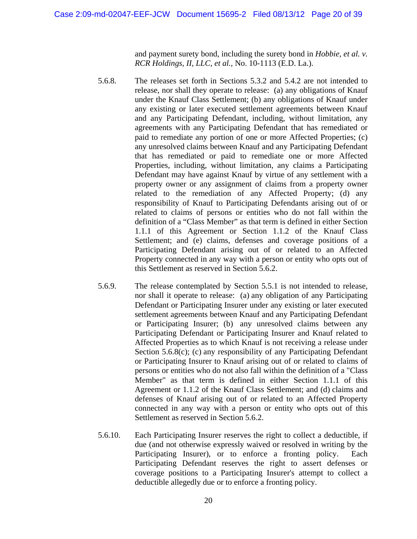and payment surety bond, including the surety bond in *Hobbie, et al. v. RCR Holdings, II, LLC, et al.,* No. 10-1113 (E.D. La.).

- 5.6.8. The releases set forth in Sections 5.3.2 and 5.4.2 are not intended to release, nor shall they operate to release: (a) any obligations of Knauf under the Knauf Class Settlement; (b) any obligations of Knauf under any existing or later executed settlement agreements between Knauf and any Participating Defendant, including, without limitation, any agreements with any Participating Defendant that has remediated or paid to remediate any portion of one or more Affected Properties; (c) any unresolved claims between Knauf and any Participating Defendant that has remediated or paid to remediate one or more Affected Properties, including, without limitation, any claims a Participating Defendant may have against Knauf by virtue of any settlement with a property owner or any assignment of claims from a property owner related to the remediation of any Affected Property; (d) any responsibility of Knauf to Participating Defendants arising out of or related to claims of persons or entities who do not fall within the definition of a "Class Member" as that term is defined in either Section 1.1.1 of this Agreement or Section 1.1.2 of the Knauf Class Settlement; and (e) claims, defenses and coverage positions of a Participating Defendant arising out of or related to an Affected Property connected in any way with a person or entity who opts out of this Settlement as reserved in Section 5.6.2.
- 5.6.9. The release contemplated by Section 5.5.1 is not intended to release, nor shall it operate to release: (a) any obligation of any Participating Defendant or Participating Insurer under any existing or later executed settlement agreements between Knauf and any Participating Defendant or Participating Insurer; (b) any unresolved claims between any Participating Defendant or Participating Insurer and Knauf related to Affected Properties as to which Knauf is not receiving a release under Section 5.6.8(c); (c) any responsibility of any Participating Defendant or Participating Insurer to Knauf arising out of or related to claims of persons or entities who do not also fall within the definition of a "Class Member" as that term is defined in either Section 1.1.1 of this Agreement or 1.1.2 of the Knauf Class Settlement; and (d) claims and defenses of Knauf arising out of or related to an Affected Property connected in any way with a person or entity who opts out of this Settlement as reserved in Section 5.6.2.
- 5.6.10. Each Participating Insurer reserves the right to collect a deductible, if due (and not otherwise expressly waived or resolved in writing by the Participating Insurer), or to enforce a fronting policy. Each Participating Defendant reserves the right to assert defenses or coverage positions to a Participating Insurer's attempt to collect a deductible allegedly due or to enforce a fronting policy.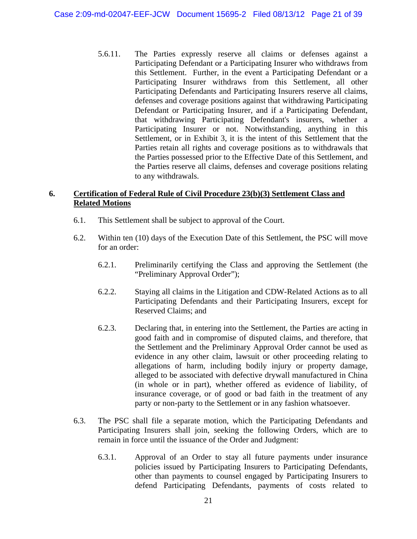5.6.11. The Parties expressly reserve all claims or defenses against a Participating Defendant or a Participating Insurer who withdraws from this Settlement. Further, in the event a Participating Defendant or a Participating Insurer withdraws from this Settlement, all other Participating Defendants and Participating Insurers reserve all claims, defenses and coverage positions against that withdrawing Participating Defendant or Participating Insurer, and if a Participating Defendant, that withdrawing Participating Defendant's insurers, whether a Participating Insurer or not. Notwithstanding, anything in this Settlement, or in Exhibit 3, it is the intent of this Settlement that the Parties retain all rights and coverage positions as to withdrawals that the Parties possessed prior to the Effective Date of this Settlement, and the Parties reserve all claims, defenses and coverage positions relating to any withdrawals.

#### **6. Certification of Federal Rule of Civil Procedure 23(b)(3) Settlement Class and Related Motions**

- 6.1. This Settlement shall be subject to approval of the Court.
- 6.2. Within ten (10) days of the Execution Date of this Settlement, the PSC will move for an order:
	- 6.2.1. Preliminarily certifying the Class and approving the Settlement (the "Preliminary Approval Order");
	- 6.2.2. Staying all claims in the Litigation and CDW-Related Actions as to all Participating Defendants and their Participating Insurers, except for Reserved Claims; and
	- 6.2.3. Declaring that, in entering into the Settlement, the Parties are acting in good faith and in compromise of disputed claims, and therefore, that the Settlement and the Preliminary Approval Order cannot be used as evidence in any other claim, lawsuit or other proceeding relating to allegations of harm, including bodily injury or property damage, alleged to be associated with defective drywall manufactured in China (in whole or in part), whether offered as evidence of liability, of insurance coverage, or of good or bad faith in the treatment of any party or non-party to the Settlement or in any fashion whatsoever.
- 6.3. The PSC shall file a separate motion, which the Participating Defendants and Participating Insurers shall join, seeking the following Orders, which are to remain in force until the issuance of the Order and Judgment:
	- 6.3.1. Approval of an Order to stay all future payments under insurance policies issued by Participating Insurers to Participating Defendants, other than payments to counsel engaged by Participating Insurers to defend Participating Defendants, payments of costs related to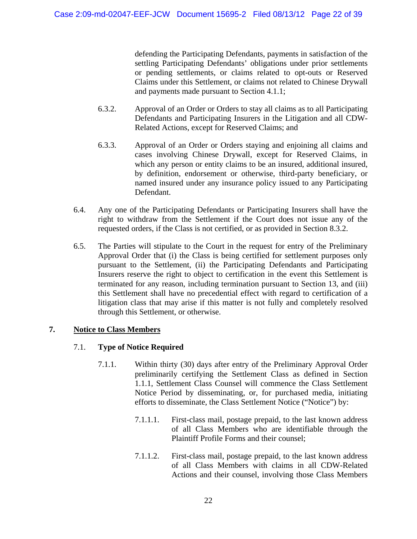defending the Participating Defendants, payments in satisfaction of the settling Participating Defendants' obligations under prior settlements or pending settlements, or claims related to opt-outs or Reserved Claims under this Settlement, or claims not related to Chinese Drywall and payments made pursuant to Section 4.1.1;

- 6.3.2. Approval of an Order or Orders to stay all claims as to all Participating Defendants and Participating Insurers in the Litigation and all CDW-Related Actions, except for Reserved Claims; and
- 6.3.3. Approval of an Order or Orders staying and enjoining all claims and cases involving Chinese Drywall, except for Reserved Claims, in which any person or entity claims to be an insured, additional insured, by definition, endorsement or otherwise, third-party beneficiary, or named insured under any insurance policy issued to any Participating Defendant.
- 6.4. Any one of the Participating Defendants or Participating Insurers shall have the right to withdraw from the Settlement if the Court does not issue any of the requested orders, if the Class is not certified, or as provided in Section 8.3.2.
- 6.5. The Parties will stipulate to the Court in the request for entry of the Preliminary Approval Order that (i) the Class is being certified for settlement purposes only pursuant to the Settlement, (ii) the Participating Defendants and Participating Insurers reserve the right to object to certification in the event this Settlement is terminated for any reason, including termination pursuant to Section 13, and (iii) this Settlement shall have no precedential effect with regard to certification of a litigation class that may arise if this matter is not fully and completely resolved through this Settlement, or otherwise.

#### **7. Notice to Class Members**

#### 7.1. **Type of Notice Required**

- 7.1.1. Within thirty (30) days after entry of the Preliminary Approval Order preliminarily certifying the Settlement Class as defined in Section 1.1.1, Settlement Class Counsel will commence the Class Settlement Notice Period by disseminating, or, for purchased media, initiating efforts to disseminate, the Class Settlement Notice ("Notice") by:
	- 7.1.1.1. First-class mail, postage prepaid, to the last known address of all Class Members who are identifiable through the Plaintiff Profile Forms and their counsel;
	- 7.1.1.2. First-class mail, postage prepaid, to the last known address of all Class Members with claims in all CDW-Related Actions and their counsel, involving those Class Members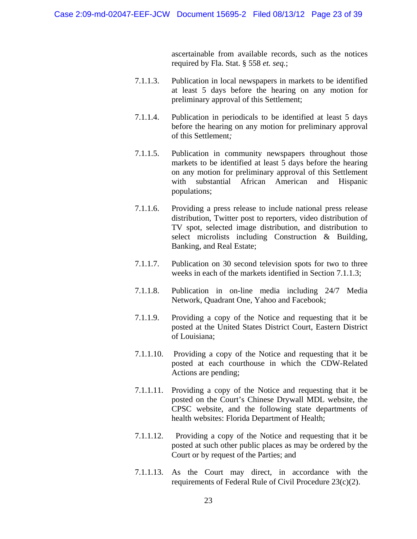ascertainable from available records, such as the notices required by Fla. Stat. § 558 *et. seq.*;

- 7.1.1.3. Publication in local newspapers in markets to be identified at least 5 days before the hearing on any motion for preliminary approval of this Settlement;
- 7.1.1.4. Publication in periodicals to be identified at least 5 days before the hearing on any motion for preliminary approval of this Settlement*;*
- 7.1.1.5. Publication in community newspapers throughout those markets to be identified at least 5 days before the hearing on any motion for preliminary approval of this Settlement with substantial African American and Hispanic populations;
- 7.1.1.6. Providing a press release to include national press release distribution, Twitter post to reporters, video distribution of TV spot, selected image distribution, and distribution to select microlists including Construction & Building, Banking, and Real Estate;
- 7.1.1.7. Publication on 30 second television spots for two to three weeks in each of the markets identified in Section 7.1.1.3;
- 7.1.1.8. Publication in on-line media including 24/7 Media Network, Quadrant One, Yahoo and Facebook;
- 7.1.1.9. Providing a copy of the Notice and requesting that it be posted at the United States District Court, Eastern District of Louisiana;
- 7.1.1.10. Providing a copy of the Notice and requesting that it be posted at each courthouse in which the CDW-Related Actions are pending;
- 7.1.1.11. Providing a copy of the Notice and requesting that it be posted on the Court's Chinese Drywall MDL website, the CPSC website, and the following state departments of health websites: Florida Department of Health;
- 7.1.1.12. Providing a copy of the Notice and requesting that it be posted at such other public places as may be ordered by the Court or by request of the Parties; and
- 7.1.1.13. As the Court may direct, in accordance with the requirements of Federal Rule of Civil Procedure 23(c)(2).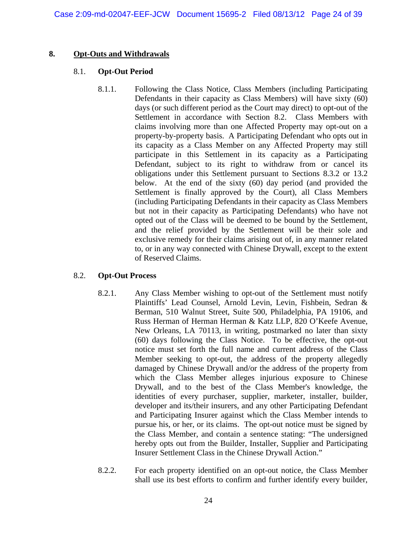#### **8. Opt-Outs and Withdrawals**

#### 8.1. **Opt-Out Period**

8.1.1. Following the Class Notice, Class Members (including Participating Defendants in their capacity as Class Members) will have sixty (60) days (or such different period as the Court may direct) to opt-out of the Settlement in accordance with Section 8.2. Class Members with claims involving more than one Affected Property may opt-out on a property-by-property basis. A Participating Defendant who opts out in its capacity as a Class Member on any Affected Property may still participate in this Settlement in its capacity as a Participating Defendant, subject to its right to withdraw from or cancel its obligations under this Settlement pursuant to Sections 8.3.2 or 13.2 below. At the end of the sixty (60) day period (and provided the Settlement is finally approved by the Court), all Class Members (including Participating Defendants in their capacity as Class Members but not in their capacity as Participating Defendants) who have not opted out of the Class will be deemed to be bound by the Settlement, and the relief provided by the Settlement will be their sole and exclusive remedy for their claims arising out of, in any manner related to, or in any way connected with Chinese Drywall, except to the extent of Reserved Claims.

#### 8.2. **Opt-Out Process**

- 8.2.1. Any Class Member wishing to opt-out of the Settlement must notify Plaintiffs' Lead Counsel, Arnold Levin, Levin, Fishbein, Sedran & Berman, 510 Walnut Street, Suite 500, Philadelphia, PA 19106, and Russ Herman of Herman Herman & Katz LLP, 820 O'Keefe Avenue, New Orleans, LA 70113, in writing, postmarked no later than sixty (60) days following the Class Notice. To be effective, the opt-out notice must set forth the full name and current address of the Class Member seeking to opt-out, the address of the property allegedly damaged by Chinese Drywall and/or the address of the property from which the Class Member alleges injurious exposure to Chinese Drywall, and to the best of the Class Member's knowledge, the identities of every purchaser, supplier, marketer, installer, builder, developer and its/their insurers, and any other Participating Defendant and Participating Insurer against which the Class Member intends to pursue his, or her, or its claims. The opt-out notice must be signed by the Class Member, and contain a sentence stating: "The undersigned hereby opts out from the Builder, Installer, Supplier and Participating Insurer Settlement Class in the Chinese Drywall Action."
- 8.2.2. For each property identified on an opt-out notice, the Class Member shall use its best efforts to confirm and further identify every builder,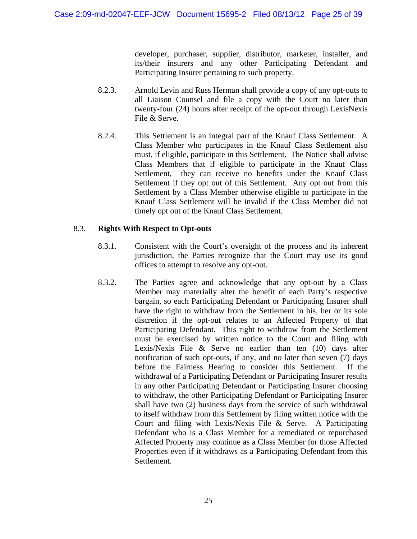developer, purchaser, supplier, distributor, marketer, installer, and its/their insurers and any other Participating Defendant and Participating Insurer pertaining to such property.

- 8.2.3. Arnold Levin and Russ Herman shall provide a copy of any opt-outs to all Liaison Counsel and file a copy with the Court no later than twenty-four (24) hours after receipt of the opt-out through LexisNexis File & Serve.
- 8.2.4. This Settlement is an integral part of the Knauf Class Settlement. A Class Member who participates in the Knauf Class Settlement also must, if eligible, participate in this Settlement. The Notice shall advise Class Members that if eligible to participate in the Knauf Class Settlement, they can receive no benefits under the Knauf Class Settlement if they opt out of this Settlement. Any opt out from this Settlement by a Class Member otherwise eligible to participate in the Knauf Class Settlement will be invalid if the Class Member did not timely opt out of the Knauf Class Settlement.

## 8.3. **Rights With Respect to Opt-outs**

- 8.3.1. Consistent with the Court's oversight of the process and its inherent jurisdiction, the Parties recognize that the Court may use its good offices to attempt to resolve any opt-out.
- 8.3.2. The Parties agree and acknowledge that any opt-out by a Class Member may materially alter the benefit of each Party's respective bargain, so each Participating Defendant or Participating Insurer shall have the right to withdraw from the Settlement in his, her or its sole discretion if the opt-out relates to an Affected Property of that Participating Defendant. This right to withdraw from the Settlement must be exercised by written notice to the Court and filing with Lexis/Nexis File & Serve no earlier than ten (10) days after notification of such opt-outs, if any, and no later than seven (7) days before the Fairness Hearing to consider this Settlement. If the withdrawal of a Participating Defendant or Participating Insurer results in any other Participating Defendant or Participating Insurer choosing to withdraw, the other Participating Defendant or Participating Insurer shall have two (2) business days from the service of such withdrawal to itself withdraw from this Settlement by filing written notice with the Court and filing with Lexis/Nexis File & Serve. A Participating Defendant who is a Class Member for a remediated or repurchased Affected Property may continue as a Class Member for those Affected Properties even if it withdraws as a Participating Defendant from this Settlement.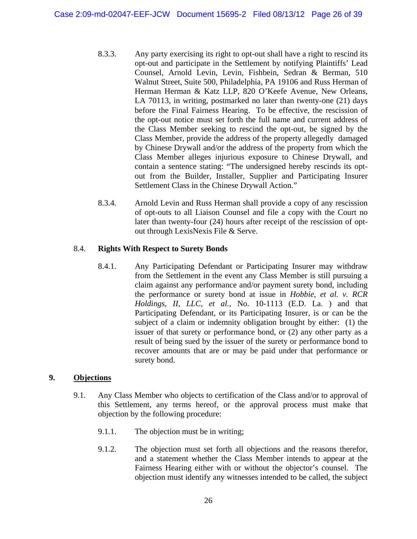- 8.3.3. Any party exercising its right to opt-out shall have a right to rescind its opt-out and participate in the Settlement by notifying Plaintiffs' Lead Counsel, Arnold Levin, Levin, Fishbein, Sedran & Berman, 510 Walnut Street, Suite 500, Philadelphia, PA 19106 and Russ Herman of Herman Herman & Katz LLP, 820 O'Keefe Avenue, New Orleans, LA 70113, in writing, postmarked no later than twenty-one (21) days before the Final Fairness Hearing. To be effective, the rescission of the opt-out notice must set forth the full name and current address of the Class Member seeking to rescind the opt-out, be signed by the Class Member, provide the address of the property allegedly damaged by Chinese Drywall and/or the address of the property from which the Class Member alleges injurious exposure to Chinese Drywall, and contain a sentence stating: "The undersigned hereby rescinds its optout from the Builder, Installer, Supplier and Participating Insurer Settlement Class in the Chinese Drywall Action."
- 8.3.4. Arnold Levin and Russ Herman shall provide a copy of any rescission of opt-outs to all Liaison Counsel and file a copy with the Court no later than twenty-four (24) hours after receipt of the rescission of optout through LexisNexis File & Serve.

## 8.4. **Rights With Respect to Surety Bonds**

8.4.1. Any Participating Defendant or Participating Insurer may withdraw from the Settlement in the event any Class Member is still pursuing a claim against any performance and/or payment surety bond, including the performance or surety bond at issue in *Hobbie, et al. v. RCR Holdings, II, LLC, et al.*, No. 10-1113 (E.D. La. ) and that Participating Defendant, or its Participating Insurer, is or can be the subject of a claim or indemnity obligation brought by either: (1) the issuer of that surety or performance bond, or (2) any other party as a result of being sued by the issuer of the surety or performance bond to recover amounts that are or may be paid under that performance or surety bond.

#### **9. Objections**

- 9.1. Any Class Member who objects to certification of the Class and/or to approval of this Settlement, any terms hereof, or the approval process must make that objection by the following procedure:
	- 9.1.1. The objection must be in writing;
	- 9.1.2. The objection must set forth all objections and the reasons therefor, and a statement whether the Class Member intends to appear at the Fairness Hearing either with or without the objector's counsel. The objection must identify any witnesses intended to be called, the subject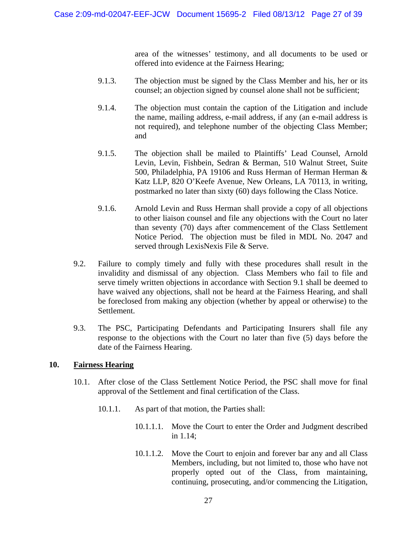area of the witnesses' testimony, and all documents to be used or offered into evidence at the Fairness Hearing;

- 9.1.3. The objection must be signed by the Class Member and his, her or its counsel; an objection signed by counsel alone shall not be sufficient;
- 9.1.4. The objection must contain the caption of the Litigation and include the name, mailing address, e-mail address, if any (an e-mail address is not required), and telephone number of the objecting Class Member; and
- 9.1.5. The objection shall be mailed to Plaintiffs' Lead Counsel, Arnold Levin, Levin, Fishbein, Sedran & Berman, 510 Walnut Street, Suite 500, Philadelphia, PA 19106 and Russ Herman of Herman Herman & Katz LLP, 820 O'Keefe Avenue, New Orleans, LA 70113, in writing, postmarked no later than sixty (60) days following the Class Notice.
- 9.1.6. Arnold Levin and Russ Herman shall provide a copy of all objections to other liaison counsel and file any objections with the Court no later than seventy (70) days after commencement of the Class Settlement Notice Period. The objection must be filed in MDL No. 2047 and served through LexisNexis File & Serve.
- 9.2. Failure to comply timely and fully with these procedures shall result in the invalidity and dismissal of any objection. Class Members who fail to file and serve timely written objections in accordance with Section 9.1 shall be deemed to have waived any objections, shall not be heard at the Fairness Hearing, and shall be foreclosed from making any objection (whether by appeal or otherwise) to the Settlement.
- 9.3. The PSC, Participating Defendants and Participating Insurers shall file any response to the objections with the Court no later than five (5) days before the date of the Fairness Hearing.

#### **10. Fairness Hearing**

- 10.1. After close of the Class Settlement Notice Period, the PSC shall move for final approval of the Settlement and final certification of the Class.
	- 10.1.1. As part of that motion, the Parties shall:
		- 10.1.1.1. Move the Court to enter the Order and Judgment described in 1.14;
		- 10.1.1.2. Move the Court to enjoin and forever bar any and all Class Members, including, but not limited to, those who have not properly opted out of the Class, from maintaining, continuing, prosecuting, and/or commencing the Litigation,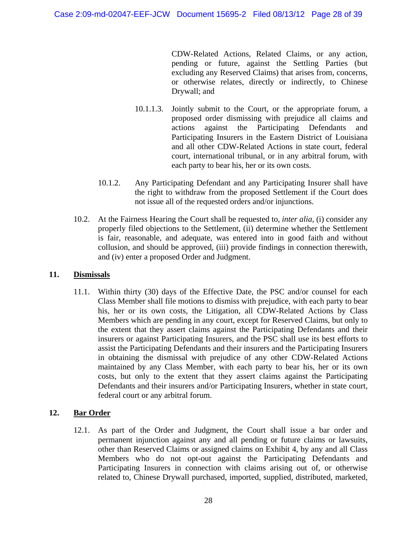CDW-Related Actions, Related Claims, or any action, pending or future, against the Settling Parties (but excluding any Reserved Claims) that arises from, concerns, or otherwise relates, directly or indirectly, to Chinese Drywall; and

- 10.1.1.3. Jointly submit to the Court, or the appropriate forum, a proposed order dismissing with prejudice all claims and actions against the Participating Defendants and Participating Insurers in the Eastern District of Louisiana and all other CDW-Related Actions in state court, federal court, international tribunal, or in any arbitral forum, with each party to bear his, her or its own costs.
- 10.1.2. Any Participating Defendant and any Participating Insurer shall have the right to withdraw from the proposed Settlement if the Court does not issue all of the requested orders and/or injunctions.
- 10.2. At the Fairness Hearing the Court shall be requested to, *inter alia*, (i) consider any properly filed objections to the Settlement, (ii) determine whether the Settlement is fair, reasonable, and adequate, was entered into in good faith and without collusion, and should be approved, (iii) provide findings in connection therewith, and (iv) enter a proposed Order and Judgment.

#### **11. Dismissals**

11.1. Within thirty (30) days of the Effective Date, the PSC and/or counsel for each Class Member shall file motions to dismiss with prejudice, with each party to bear his, her or its own costs, the Litigation, all CDW-Related Actions by Class Members which are pending in any court, except for Reserved Claims, but only to the extent that they assert claims against the Participating Defendants and their insurers or against Participating Insurers, and the PSC shall use its best efforts to assist the Participating Defendants and their insurers and the Participating Insurers in obtaining the dismissal with prejudice of any other CDW-Related Actions maintained by any Class Member, with each party to bear his, her or its own costs, but only to the extent that they assert claims against the Participating Defendants and their insurers and/or Participating Insurers, whether in state court, federal court or any arbitral forum.

## **12. Bar Order**

12.1. As part of the Order and Judgment, the Court shall issue a bar order and permanent injunction against any and all pending or future claims or lawsuits, other than Reserved Claims or assigned claims on Exhibit 4, by any and all Class Members who do not opt-out against the Participating Defendants and Participating Insurers in connection with claims arising out of, or otherwise related to, Chinese Drywall purchased, imported, supplied, distributed, marketed,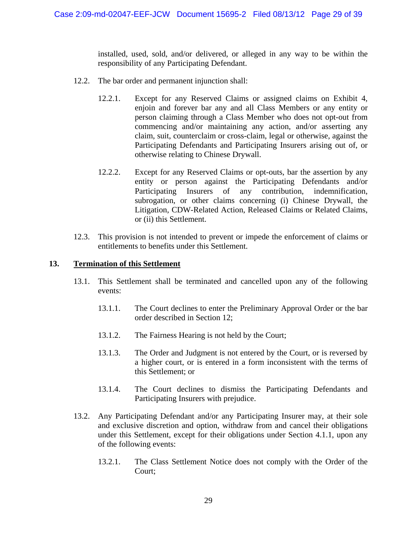installed, used, sold, and/or delivered, or alleged in any way to be within the responsibility of any Participating Defendant.

- 12.2. The bar order and permanent injunction shall:
	- 12.2.1. Except for any Reserved Claims or assigned claims on Exhibit 4, enjoin and forever bar any and all Class Members or any entity or person claiming through a Class Member who does not opt-out from commencing and/or maintaining any action, and/or asserting any claim, suit, counterclaim or cross-claim, legal or otherwise, against the Participating Defendants and Participating Insurers arising out of, or otherwise relating to Chinese Drywall.
	- 12.2.2. Except for any Reserved Claims or opt-outs, bar the assertion by any entity or person against the Participating Defendants and/or Participating Insurers of any contribution, indemnification, subrogation, or other claims concerning (i) Chinese Drywall, the Litigation, CDW-Related Action, Released Claims or Related Claims, or (ii) this Settlement.
- 12.3. This provision is not intended to prevent or impede the enforcement of claims or entitlements to benefits under this Settlement.

#### **13. Termination of this Settlement**

- 13.1. This Settlement shall be terminated and cancelled upon any of the following events:
	- 13.1.1. The Court declines to enter the Preliminary Approval Order or the bar order described in Section 12;
	- 13.1.2. The Fairness Hearing is not held by the Court;
	- 13.1.3. The Order and Judgment is not entered by the Court, or is reversed by a higher court, or is entered in a form inconsistent with the terms of this Settlement; or
	- 13.1.4. The Court declines to dismiss the Participating Defendants and Participating Insurers with prejudice.
- 13.2. Any Participating Defendant and/or any Participating Insurer may, at their sole and exclusive discretion and option, withdraw from and cancel their obligations under this Settlement, except for their obligations under Section 4.1.1, upon any of the following events:
	- 13.2.1. The Class Settlement Notice does not comply with the Order of the Court;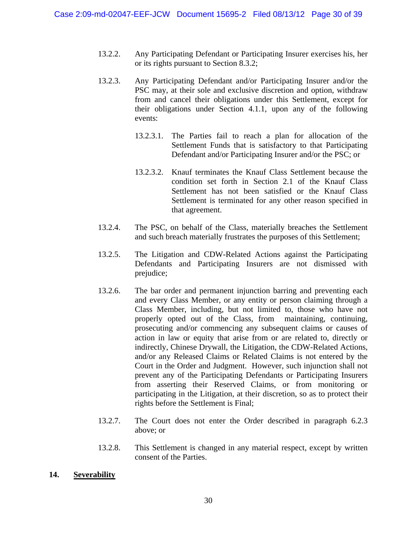- 13.2.2. Any Participating Defendant or Participating Insurer exercises his, her or its rights pursuant to Section 8.3.2;
- 13.2.3. Any Participating Defendant and/or Participating Insurer and/or the PSC may, at their sole and exclusive discretion and option, withdraw from and cancel their obligations under this Settlement, except for their obligations under Section 4.1.1, upon any of the following events:
	- 13.2.3.1. The Parties fail to reach a plan for allocation of the Settlement Funds that is satisfactory to that Participating Defendant and/or Participating Insurer and/or the PSC; or
	- 13.2.3.2. Knauf terminates the Knauf Class Settlement because the condition set forth in Section 2.1 of the Knauf Class Settlement has not been satisfied or the Knauf Class Settlement is terminated for any other reason specified in that agreement.
- 13.2.4. The PSC, on behalf of the Class, materially breaches the Settlement and such breach materially frustrates the purposes of this Settlement;
- 13.2.5. The Litigation and CDW-Related Actions against the Participating Defendants and Participating Insurers are not dismissed with prejudice;
- 13.2.6. The bar order and permanent injunction barring and preventing each and every Class Member, or any entity or person claiming through a Class Member, including, but not limited to, those who have not properly opted out of the Class, from maintaining, continuing, prosecuting and/or commencing any subsequent claims or causes of action in law or equity that arise from or are related to, directly or indirectly, Chinese Drywall, the Litigation, the CDW-Related Actions, and/or any Released Claims or Related Claims is not entered by the Court in the Order and Judgment. However, such injunction shall not prevent any of the Participating Defendants or Participating Insurers from asserting their Reserved Claims, or from monitoring or participating in the Litigation, at their discretion, so as to protect their rights before the Settlement is Final;
- 13.2.7. The Court does not enter the Order described in paragraph 6.2.3 above; or
- 13.2.8. This Settlement is changed in any material respect, except by written consent of the Parties.

#### **14. Severability**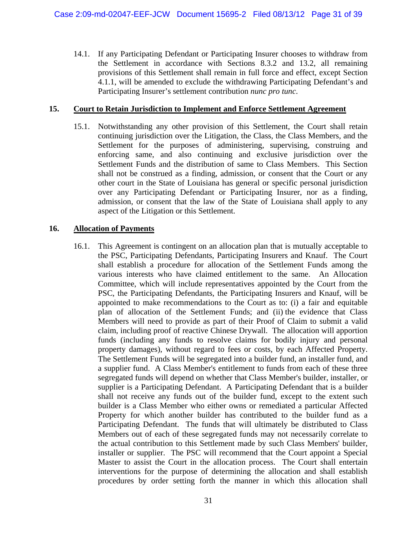14.1. If any Participating Defendant or Participating Insurer chooses to withdraw from the Settlement in accordance with Sections 8.3.2 and 13.2, all remaining provisions of this Settlement shall remain in full force and effect, except Section 4.1.1, will be amended to exclude the withdrawing Participating Defendant's and Participating Insurer's settlement contribution *nunc pro tunc*.

#### **15. Court to Retain Jurisdiction to Implement and Enforce Settlement Agreement**

15.1. Notwithstanding any other provision of this Settlement, the Court shall retain continuing jurisdiction over the Litigation, the Class, the Class Members, and the Settlement for the purposes of administering, supervising, construing and enforcing same, and also continuing and exclusive jurisdiction over the Settlement Funds and the distribution of same to Class Members. This Section shall not be construed as a finding, admission, or consent that the Court or any other court in the State of Louisiana has general or specific personal jurisdiction over any Participating Defendant or Participating Insurer, nor as a finding, admission, or consent that the law of the State of Louisiana shall apply to any aspect of the Litigation or this Settlement.

#### **16. Allocation of Payments**

16.1. This Agreement is contingent on an allocation plan that is mutually acceptable to the PSC, Participating Defendants, Participating Insurers and Knauf. The Court shall establish a procedure for allocation of the Settlement Funds among the various interests who have claimed entitlement to the same. An Allocation Committee, which will include representatives appointed by the Court from the PSC, the Participating Defendants, the Participating Insurers and Knauf, will be appointed to make recommendations to the Court as to: (i) a fair and equitable plan of allocation of the Settlement Funds; and (ii) the evidence that Class Members will need to provide as part of their Proof of Claim to submit a valid claim, including proof of reactive Chinese Drywall. The allocation will apportion funds (including any funds to resolve claims for bodily injury and personal property damages), without regard to fees or costs, by each Affected Property. The Settlement Funds will be segregated into a builder fund, an installer fund, and a supplier fund. A Class Member's entitlement to funds from each of these three segregated funds will depend on whether that Class Member's builder, installer, or supplier is a Participating Defendant. A Participating Defendant that is a builder shall not receive any funds out of the builder fund, except to the extent such builder is a Class Member who either owns or remediated a particular Affected Property for which another builder has contributed to the builder fund as a Participating Defendant. The funds that will ultimately be distributed to Class Members out of each of these segregated funds may not necessarily correlate to the actual contribution to this Settlement made by such Class Members' builder, installer or supplier. The PSC will recommend that the Court appoint a Special Master to assist the Court in the allocation process. The Court shall entertain interventions for the purpose of determining the allocation and shall establish procedures by order setting forth the manner in which this allocation shall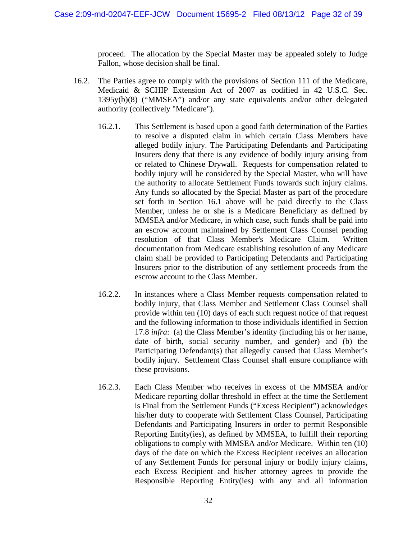proceed. The allocation by the Special Master may be appealed solely to Judge Fallon, whose decision shall be final.

- 16.2. The Parties agree to comply with the provisions of Section 111 of the Medicare, Medicaid & SCHIP Extension Act of 2007 as codified in 42 U.S.C. Sec. 1395y(b)(8) ("MMSEA") and/or any state equivalents and/or other delegated authority (collectively "Medicare").
	- 16.2.1. This Settlement is based upon a good faith determination of the Parties to resolve a disputed claim in which certain Class Members have alleged bodily injury. The Participating Defendants and Participating Insurers deny that there is any evidence of bodily injury arising from or related to Chinese Drywall. Requests for compensation related to bodily injury will be considered by the Special Master, who will have the authority to allocate Settlement Funds towards such injury claims. Any funds so allocated by the Special Master as part of the procedure set forth in Section 16.1 above will be paid directly to the Class Member, unless he or she is a Medicare Beneficiary as defined by MMSEA and/or Medicare, in which case, such funds shall be paid into an escrow account maintained by Settlement Class Counsel pending resolution of that Class Member's Medicare Claim. Written documentation from Medicare establishing resolution of any Medicare claim shall be provided to Participating Defendants and Participating Insurers prior to the distribution of any settlement proceeds from the escrow account to the Class Member.
	- 16.2.2. In instances where a Class Member requests compensation related to bodily injury, that Class Member and Settlement Class Counsel shall provide within ten (10) days of each such request notice of that request and the following information to those individuals identified in Section 17.8 *infra*: (a) the Class Member's identity (including his or her name, date of birth, social security number, and gender) and (b) the Participating Defendant(s) that allegedly caused that Class Member's bodily injury. Settlement Class Counsel shall ensure compliance with these provisions.
	- 16.2.3. Each Class Member who receives in excess of the MMSEA and/or Medicare reporting dollar threshold in effect at the time the Settlement is Final from the Settlement Funds ("Excess Recipient") acknowledges his/her duty to cooperate with Settlement Class Counsel, Participating Defendants and Participating Insurers in order to permit Responsible Reporting Entity(ies), as defined by MMSEA, to fulfill their reporting obligations to comply with MMSEA and/or Medicare. Within ten (10) days of the date on which the Excess Recipient receives an allocation of any Settlement Funds for personal injury or bodily injury claims, each Excess Recipient and his/her attorney agrees to provide the Responsible Reporting Entity(ies) with any and all information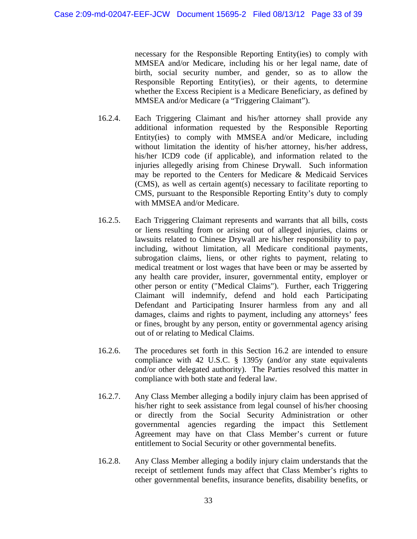necessary for the Responsible Reporting Entity(ies) to comply with MMSEA and/or Medicare, including his or her legal name, date of birth, social security number, and gender, so as to allow the Responsible Reporting Entity(ies), or their agents, to determine whether the Excess Recipient is a Medicare Beneficiary, as defined by MMSEA and/or Medicare (a "Triggering Claimant").

- 16.2.4. Each Triggering Claimant and his/her attorney shall provide any additional information requested by the Responsible Reporting Entity(ies) to comply with MMSEA and/or Medicare, including without limitation the identity of his/her attorney, his/her address, his/her ICD9 code (if applicable), and information related to the injuries allegedly arising from Chinese Drywall. Such information may be reported to the Centers for Medicare & Medicaid Services (CMS), as well as certain agent(s) necessary to facilitate reporting to CMS, pursuant to the Responsible Reporting Entity's duty to comply with MMSEA and/or Medicare.
- 16.2.5. Each Triggering Claimant represents and warrants that all bills, costs or liens resulting from or arising out of alleged injuries, claims or lawsuits related to Chinese Drywall are his/her responsibility to pay, including, without limitation, all Medicare conditional payments, subrogation claims, liens, or other rights to payment, relating to medical treatment or lost wages that have been or may be asserted by any health care provider, insurer, governmental entity, employer or other person or entity ("Medical Claims"). Further, each Triggering Claimant will indemnify, defend and hold each Participating Defendant and Participating Insurer harmless from any and all damages, claims and rights to payment, including any attorneys' fees or fines, brought by any person, entity or governmental agency arising out of or relating to Medical Claims.
- 16.2.6. The procedures set forth in this Section 16.2 are intended to ensure compliance with 42 U.S.C. § 1395y (and/or any state equivalents and/or other delegated authority). The Parties resolved this matter in compliance with both state and federal law.
- 16.2.7. Any Class Member alleging a bodily injury claim has been apprised of his/her right to seek assistance from legal counsel of his/her choosing or directly from the Social Security Administration or other governmental agencies regarding the impact this Settlement Agreement may have on that Class Member's current or future entitlement to Social Security or other governmental benefits.
- 16.2.8. Any Class Member alleging a bodily injury claim understands that the receipt of settlement funds may affect that Class Member's rights to other governmental benefits, insurance benefits, disability benefits, or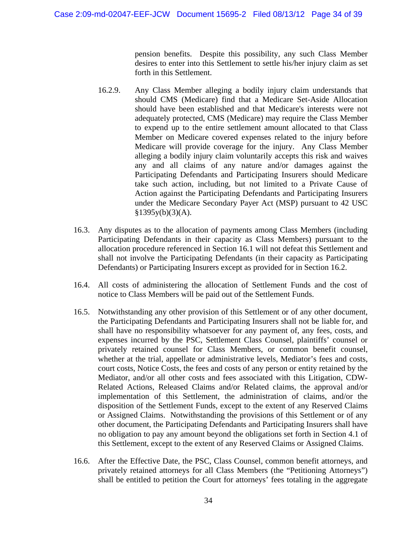pension benefits. Despite this possibility, any such Class Member desires to enter into this Settlement to settle his/her injury claim as set forth in this Settlement.

- 16.2.9. Any Class Member alleging a bodily injury claim understands that should CMS (Medicare) find that a Medicare Set-Aside Allocation should have been established and that Medicare's interests were not adequately protected, CMS (Medicare) may require the Class Member to expend up to the entire settlement amount allocated to that Class Member on Medicare covered expenses related to the injury before Medicare will provide coverage for the injury. Any Class Member alleging a bodily injury claim voluntarily accepts this risk and waives any and all claims of any nature and/or damages against the Participating Defendants and Participating Insurers should Medicare take such action, including, but not limited to a Private Cause of Action against the Participating Defendants and Participating Insurers under the Medicare Secondary Payer Act (MSP) pursuant to 42 USC  $§1395y(b)(3)(A).$
- 16.3. Any disputes as to the allocation of payments among Class Members (including Participating Defendants in their capacity as Class Members) pursuant to the allocation procedure referenced in Section 16.1 will not defeat this Settlement and shall not involve the Participating Defendants (in their capacity as Participating Defendants) or Participating Insurers except as provided for in Section 16.2.
- 16.4. All costs of administering the allocation of Settlement Funds and the cost of notice to Class Members will be paid out of the Settlement Funds.
- 16.5. Notwithstanding any other provision of this Settlement or of any other document, the Participating Defendants and Participating Insurers shall not be liable for, and shall have no responsibility whatsoever for any payment of, any fees, costs, and expenses incurred by the PSC, Settlement Class Counsel, plaintiffs' counsel or privately retained counsel for Class Members, or common benefit counsel, whether at the trial, appellate or administrative levels, Mediator's fees and costs, court costs, Notice Costs, the fees and costs of any person or entity retained by the Mediator, and/or all other costs and fees associated with this Litigation, CDW-Related Actions, Released Claims and/or Related claims, the approval and/or implementation of this Settlement, the administration of claims, and/or the disposition of the Settlement Funds, except to the extent of any Reserved Claims or Assigned Claims. Notwithstanding the provisions of this Settlement or of any other document, the Participating Defendants and Participating Insurers shall have no obligation to pay any amount beyond the obligations set forth in Section 4.1 of this Settlement, except to the extent of any Reserved Claims or Assigned Claims.
- 16.6. After the Effective Date, the PSC, Class Counsel, common benefit attorneys, and privately retained attorneys for all Class Members (the "Petitioning Attorneys") shall be entitled to petition the Court for attorneys' fees totaling in the aggregate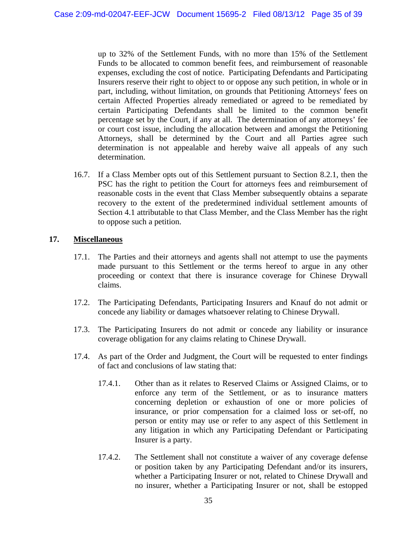up to 32% of the Settlement Funds, with no more than 15% of the Settlement Funds to be allocated to common benefit fees, and reimbursement of reasonable expenses, excluding the cost of notice. Participating Defendants and Participating Insurers reserve their right to object to or oppose any such petition, in whole or in part, including, without limitation, on grounds that Petitioning Attorneys' fees on certain Affected Properties already remediated or agreed to be remediated by certain Participating Defendants shall be limited to the common benefit percentage set by the Court, if any at all. The determination of any attorneys' fee or court cost issue, including the allocation between and amongst the Petitioning Attorneys, shall be determined by the Court and all Parties agree such determination is not appealable and hereby waive all appeals of any such determination.

16.7. If a Class Member opts out of this Settlement pursuant to Section 8.2.1, then the PSC has the right to petition the Court for attorneys fees and reimbursement of reasonable costs in the event that Class Member subsequently obtains a separate recovery to the extent of the predetermined individual settlement amounts of Section 4.1 attributable to that Class Member, and the Class Member has the right to oppose such a petition.

#### **17. Miscellaneous**

- 17.1. The Parties and their attorneys and agents shall not attempt to use the payments made pursuant to this Settlement or the terms hereof to argue in any other proceeding or context that there is insurance coverage for Chinese Drywall claims.
- 17.2. The Participating Defendants, Participating Insurers and Knauf do not admit or concede any liability or damages whatsoever relating to Chinese Drywall.
- 17.3. The Participating Insurers do not admit or concede any liability or insurance coverage obligation for any claims relating to Chinese Drywall.
- 17.4. As part of the Order and Judgment, the Court will be requested to enter findings of fact and conclusions of law stating that:
	- 17.4.1. Other than as it relates to Reserved Claims or Assigned Claims, or to enforce any term of the Settlement, or as to insurance matters concerning depletion or exhaustion of one or more policies of insurance, or prior compensation for a claimed loss or set-off, no person or entity may use or refer to any aspect of this Settlement in any litigation in which any Participating Defendant or Participating Insurer is a party.
	- 17.4.2. The Settlement shall not constitute a waiver of any coverage defense or position taken by any Participating Defendant and/or its insurers, whether a Participating Insurer or not, related to Chinese Drywall and no insurer, whether a Participating Insurer or not, shall be estopped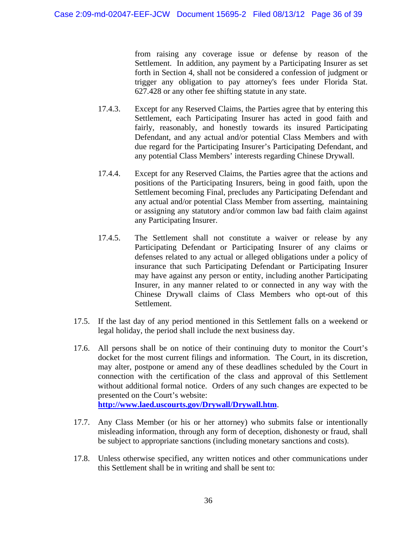from raising any coverage issue or defense by reason of the Settlement. In addition, any payment by a Participating Insurer as set forth in Section 4, shall not be considered a confession of judgment or trigger any obligation to pay attorney's fees under Florida Stat. 627.428 or any other fee shifting statute in any state.

- 17.4.3. Except for any Reserved Claims, the Parties agree that by entering this Settlement, each Participating Insurer has acted in good faith and fairly, reasonably, and honestly towards its insured Participating Defendant, and any actual and/or potential Class Members and with due regard for the Participating Insurer's Participating Defendant, and any potential Class Members' interests regarding Chinese Drywall.
- 17.4.4. Except for any Reserved Claims, the Parties agree that the actions and positions of the Participating Insurers, being in good faith, upon the Settlement becoming Final, precludes any Participating Defendant and any actual and/or potential Class Member from asserting, maintaining or assigning any statutory and/or common law bad faith claim against any Participating Insurer.
- 17.4.5. The Settlement shall not constitute a waiver or release by any Participating Defendant or Participating Insurer of any claims or defenses related to any actual or alleged obligations under a policy of insurance that such Participating Defendant or Participating Insurer may have against any person or entity, including another Participating Insurer, in any manner related to or connected in any way with the Chinese Drywall claims of Class Members who opt-out of this Settlement.
- 17.5. If the last day of any period mentioned in this Settlement falls on a weekend or legal holiday, the period shall include the next business day.
- 17.6. All persons shall be on notice of their continuing duty to monitor the Court's docket for the most current filings and information. The Court, in its discretion, may alter, postpone or amend any of these deadlines scheduled by the Court in connection with the certification of the class and approval of this Settlement without additional formal notice. Orders of any such changes are expected to be presented on the Court's website: **http://www.laed.uscourts.gov/Drywall/Drywall.htm**.
- 17.7. Any Class Member (or his or her attorney) who submits false or intentionally misleading information, through any form of deception, dishonesty or fraud, shall be subject to appropriate sanctions (including monetary sanctions and costs).
- 17.8. Unless otherwise specified, any written notices and other communications under this Settlement shall be in writing and shall be sent to: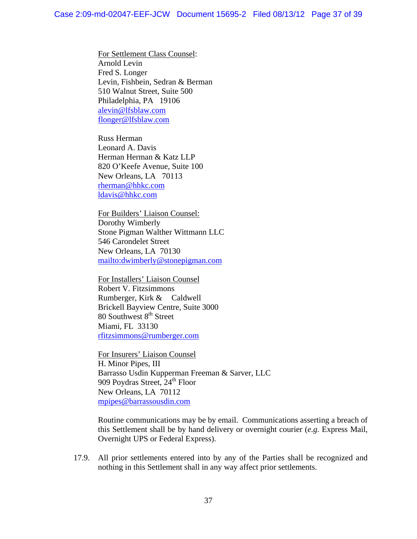For Settlement Class Counsel: Arnold Levin Fred S. Longer Levin, Fishbein, Sedran & Berman 510 Walnut Street, Suite 500 Philadelphia, PA 19106 alevin@lfsblaw.com flonger@lfsblaw.com

 Russ Herman Leonard A. Davis Herman Herman & Katz LLP 820 O'Keefe Avenue, Suite 100 New Orleans, LA 70113 rherman@hhkc.com ldavis@hhkc.com

 For Builders' Liaison Counsel: Dorothy Wimberly Stone Pigman Walther Wittmann LLC 546 Carondelet Street New Orleans, LA 70130 mailto:dwimberly@stonepigman.com

 For Installers' Liaison Counsel Robert V. Fitzsimmons Rumberger, Kirk & Caldwell Brickell Bayview Centre, Suite 3000 80 Southwest  $8<sup>th</sup>$  Street Miami, FL 33130 rfitzsimmons@rumberger.com

For Insurers' Liaison Counsel H. Minor Pipes, III Barrasso Usdin Kupperman Freeman & Sarver, LLC 909 Poydras Street, 24<sup>th</sup> Floor New Orleans, LA 70112 mpipes@barrassousdin.com

Routine communications may be by email. Communications asserting a breach of this Settlement shall be by hand delivery or overnight courier (*e.g.* Express Mail, Overnight UPS or Federal Express).

17.9. All prior settlements entered into by any of the Parties shall be recognized and nothing in this Settlement shall in any way affect prior settlements.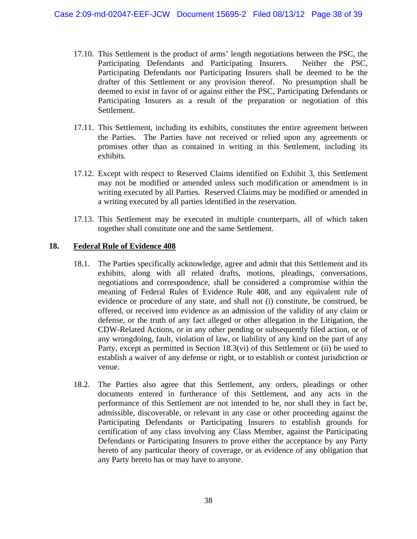- 17.10. This Settlement is the product of arms' length negotiations between the PSC, the Participating Defendants and Participating Insurers. Neither the PSC, Participating Defendants nor Participating Insurers shall be deemed to be the drafter of this Settlement or any provision thereof. No presumption shall be deemed to exist in favor of or against either the PSC, Participating Defendants or Participating Insurers as a result of the preparation or negotiation of this Settlement.
- 17.11. This Settlement, including its exhibits, constitutes the entire agreement between the Parties. The Parties have not received or relied upon any agreements or promises other than as contained in writing in this Settlement, including its exhibits.
- 17.12. Except with respect to Reserved Claims identified on Exhibit 3, this Settlement may not be modified or amended unless such modification or amendment is in writing executed by all Parties. Reserved Claims may be modified or amended in a writing executed by all parties identified in the reservation.
- 17.13. This Settlement may be executed in multiple counterparts, all of which taken together shall constitute one and the same Settlement.

## **18. Federal Rule of Evidence 408**

- 18.1. The Parties specifically acknowledge, agree and admit that this Settlement and its exhibits, along with all related drafts, motions, pleadings, conversations, negotiations and correspondence, shall be considered a compromise within the meaning of Federal Rules of Evidence Rule 408, and any equivalent rule of evidence or procedure of any state, and shall not (i) constitute, be construed, be offered, or received into evidence as an admission of the validity of any claim or defense, or the truth of any fact alleged or other allegation in the Litigation, the CDW-Related Actions, or in any other pending or subsequently filed action, or of any wrongdoing, fault, violation of law, or liability of any kind on the part of any Party, except as permitted in Section 18.3(vi) of this Settlement or (ii) be used to establish a waiver of any defense or right, or to establish or contest jurisdiction or venue.
- 18.2. The Parties also agree that this Settlement, any orders, pleadings or other documents entered in furtherance of this Settlement, and any acts in the performance of this Settlement are not intended to be, nor shall they in fact be, admissible, discoverable, or relevant in any case or other proceeding against the Participating Defendants or Participating Insurers to establish grounds for certification of any class involving any Class Member, against the Participating Defendants or Participating Insurers to prove either the acceptance by any Party hereto of any particular theory of coverage, or as evidence of any obligation that any Party hereto has or may have to anyone.